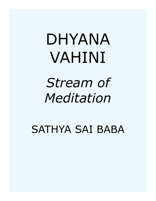# DHYANA VAHINI

*Stream of Meditation*

SATHYA SAI BABA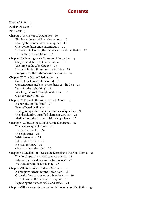## **Contents**

[Dhyana Vahini 5](#page-4-0) [Publisher's Note 6](#page-5-0) [PREFACE 7](#page-6-0) [Chapter I. The Power of Meditation 10](#page-9-0) [Binding actions and liberating actions 10](#page-9-0) [Taming the mind and the intelligence 11](#page-10-0) [One-pointedness and concentration 11](#page-10-0) [The value of chanting the divine name and meditation 12](#page-11-0) [The method of meditation 12](#page-11-0) [Chapter II. Chanting God's Name and Meditation 14](#page-13-0) [Gauge meditation by its inner impact 14](#page-13-0) [The three paths of meditation 15](#page-14-0) [The need for bodily and mental training 15](#page-14-0) [Everyone has the right to spiritual success 16](#page-15-0) [Chapter III. The Goal of Meditation 18](#page-17-0) [Control the temper of the mind 18](#page-17-0) [Concentration and one-pointedness are the keys 18](#page-17-0) [Yearn for the right thing! 18](#page-17-0) [Reaching the goal through meditation 19](#page-18-0) [Gain inward vision 20](#page-19-0) [Chapter IV. Promote the Welfare of All Beings 21](#page-20-0) [Eschew the tenfold "sins" 21](#page-20-0) [Be unaffected by illusion 21](#page-20-0) [First, good qualities; later, the absence of qualities 21](#page-20-0) [The placid, calm, unruffled character wins out 22](#page-21-0) [Meditation is the basis of spiritual experience 23](#page-22-0) [Chapter V. Cultivate the Blissful Atmic Experience 24](#page-23-0) [The primary qualifications 24](#page-23-0) [Lead a dharmic life 24](#page-23-0) [The eight gates 25](#page-24-0) [Wish versus will 25](#page-24-0) [Take it step by step 25](#page-24-0) [No past or future 26](#page-25-0) [Clean and feed the mind 26](#page-25-0) [Chapter VI. Meditation Reveals the Eternal and the Non-Eternal 27](#page-26-0) [The Lord's grace is needed to cross the sea 27](#page-26-0) [Why worry over short-lived attachments? 27](#page-26-0) [We are actors in the Lord's play 29](#page-28-0) [Chapter VII. Remember God and Meditate 30](#page-29-0) [All religions remember the Lord's name 30](#page-29-0) [Crave the Lord's name rather than the form 30](#page-29-0) [Do not discuss the path with everyone 31](#page-30-0) [Repeating the name is safest and easiest 31](#page-30-0) [Chapter VIII. One-pointed Attention is Essential for Meditation 33](#page-32-0)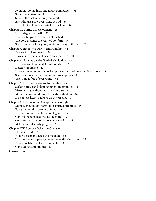[Avoid no-pointedness and many-pointedness 33](#page-32-0) [Stick to one name and form 33](#page-32-0) [Stick to the task of taming the mind 33](#page-32-0) [Everything is pure, everything is God 34](#page-33-0) [Do not reject Him, cultivate love for Him 34](#page-33-0) [Chapter IX. Spiritual Development 36](#page-35-0) [Three stages of growth 36](#page-35-0) [Discuss the good in others, not the bad 37](#page-36-0) [The Lord assumes the yearned-for form 37](#page-36-0) [Seek company of the good; avoid company of the bad 37](#page-36-0) [Chapter X. Innocence, Purity, and Humility 39](#page-38-0) [Be ever joyful and sweet 39](#page-38-0) [Have contentment and desire only the Lord 40](#page-39-0) [Chapter XI. Liberation: the Goal of Meditation 42](#page-41-0) [The beneficent and maleficent impulses 42](#page-41-0) [Destroy ignorance 42](#page-41-0) [Uproot the impulses that make up the mind, and the mind is no more 43](#page-42-0) [Success in meditation from uprooting impulses 43](#page-42-0) [The Atma is free of everything 44](#page-43-0) [Chapter XII. Do not Be a Slave to Impulses 45](#page-44-0) [Seeking praise and blaming others are impulses 45](#page-44-0) [Mere reading without practice is impure 46](#page-45-0) [Master the wayward mind through meditation 46](#page-45-0) [Do not lose heart, but keep up the practice 47](#page-46-0) [Chapter XIII. Developing One-pointedness 48](#page-47-0) [Monkey meditation: harmful to spiritual progress 48](#page-47-0) [Force the mind to be one-pointed 48](#page-47-0) [The inert mind reflects the intelligence 49](#page-48-0) [Control the senses as well as the mind 49](#page-48-0) [Cultivate good habits before concentration 49](#page-48-0) [Make slow but steady progress 50](#page-49-0) [Chapter XIV. Remove Defects in Character 51](#page-50-0) [Eliminate pride 51](#page-50-0) [Follow Krishna's advice and meditate 52](#page-51-0) [The three guards: peace, contentment, discrimination 52](#page-51-0) [Be comfortable in all environments 53](#page-52-0) [Concluding admonitions 53](#page-52-0) [Glossary 55](#page-54-0)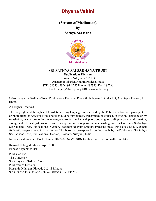## <span id="page-4-0"></span>**Dhyana Vahini**

**(Stream of Meditation) by Sathya Sai Baba**



### **SRI SATHYA SAI SADHANA TRUST**

**Publications Division**

Prasanthi Nilayam - 515134 Anantapur District, Andhra Pradesh, India STD: 08555 : ISD : 91-8555 Phone: 287375, Fax: 287236 Email: enquiry@sssbpt.org URL www.sssbpt.org

© Sri Sathya Sai Sadhana Trust, Publications Division, Prasanthi Nilayam P.O. 515 134, Anantapur District, A.P. (India.)

All Rights Reserved.

The copyright and the rights of translation in any language are reserved by the Publishers. No part, passage, text or photograph or Artwork of this book should be reproduced, transmitted or utilised, in original language or by translation, in any form or by any means, electronic, mechanical, photo copying, recording or by any information, storage and retrieval system except with the express and prior permission, in writing from the Convener, Sri Sathya Sai Sadhana Trust, Publications Division, Prasanthi Nilayam (Andhra Pradesh) India - Pin Code 515 134, except for brief passages quoted in book review. This book can be exported from India only by the Publishers - Sri Sathya Sai Sadhana Trust, Publications Division, Prasanthi Nilayam, India.

International Standard Book Number 81-7208-345-9: ISBN for this ebook edition will come later

Revised Enlarged Edition: April 2003 Ebook: September 2014 Published by: The Convener, Sri Sathya Sai Sadhana Trust, Publications Division Prasanthi Nilayam, Pincode 515 134, India STD: 08555 ISD: 91-8555 Phone: 287375 Fax: 287236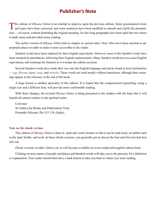## **Publisher's Note**

<span id="page-5-0"></span>This edition of *Dhyana Vahini* is an attempt to improve upon the previous edition. Some grammatical errors and typos have been corrected, and some sentences have been modified to smooth and clarify the presentation — of course, without disturbing the original meaning. So also long paragraphs have been split into two where it made sense and provided easier reading.

The earlier version of *Dhyana Vahini* had no chapter or section titles. Now, titles have been inserted in appropriate places in order to make it more accessible to the reader.

Sanskrit words have been replaced by their English equivalents. However, most of the Sanskrit words have been retained (in parentheses, following their English replacements). Many Sanskrit words have no exact English equivalents; and retaining the Sanskrit as it is keeps the edition accurate.

Several Sanskrit words have made their way into the English language and can be found in most dictionaries — e.g. *[dharma](#page-53-0)*, *[guru](#page-54-1)*, *yoga*, and *[moksha](#page-56-0)*. These words are used mostly without translation, although their meanings appear in the Glossary at the end of the book.

A large format is another speciality of this edition. It is hoped that the computerized typesetting, using a larger size and a different font, will provide more comfortable reading.

With these changes, the revised *Dhyana Vahini* is being presented to the readers with the hope that it will benefit all earnest seekers in the spiritual realm.

Convener Sri Sathya Sai Books and Publications Trust Prasanthi Nilayam, Pin 515 134, (India).

#### **Note on the ebook version**

This edition of *Dhyana Vahini* is done in .epub and .mobi formats so that it can be read easily on tablets such as the ipad, kindle, and nook. In these ebook versions, you generally get to choose the font and font size that best suit you.

Ebook versions of other *Vahinis* are or will become available on www.sssbpt.info/english/vahinis.html.

Clicking on most names of people and places and Sanskrit words will take you to the glossary for a definition or explanation. Your reader should then have a back button to take you back to where you were reading.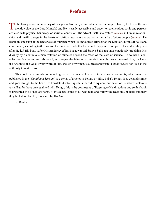## **Preface**

<span id="page-6-0"></span>To be living as a contemporary of Bhagawan Sri Sathya Sai Baba is itself a unique chance, for His is the au-<br>thentic voice of the Lord Himself; and He is easily accessible and eager to receive pious souls and persons afflicted with physical handicaps or spiritual confusion. His advent itself is to restore *[dharma](#page-53-0)* in human relationships and instill courage in the hearts of spiritual aspirants and purity in the ranks of pious people (*[sadhus](#page-58-0)*). He began this mission at the tender age of fourteen, when He announced Himself as the [Saint of Shirdi](#page-59-0), Sri Sai Baba come again, according to the promise the saint had made that He would reappear to complete His work eight years after He left His body (after His *[Mahasamadhi](#page-55-0)*). Bhagawan Sri Sathya Sai Baba unostentatiously proclaims His divinity by a continuous manifestation of miracles beyond the reach of the laws of science. He counsels, consoles, confers boons, and, above all, encourages the faltering aspirants to march forward toward Him; for He is the Absolute, the Goal. Every word of His, spoken or written, is a great aphorism (a *[mahavakya](#page-56-1)*); for He has the authority to make it so.

This book is the translation into English of His invaluable advice to all spiritual aspirants, which was first published in the "*Sanathana Sarathi*" as a series of articles in Telugu by Him. Baba's Telugu is sweet and simple and goes straight to the heart. To translate it into English is indeed to squeeze out much of its native nectarous taste. But for those unacquainted with Telugu, this is the best means of listening to His directions and so this book is presented to all such aspirants. May success come to all who read and follow the teachings of Baba and may they be led to His Holy Presence by His Grace.

N. Kasturi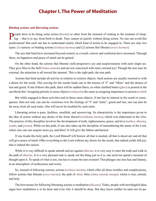## **Chapter I. The Power of Meditation**

#### **Binding actions and liberating actions**

**P**eople have to be doing some action (*[karma](#page-55-1)*) or other from the moment of waking to the moment of sleep-<br>ing —that is to say, from birth to death. They cannot sit quietly without doing action. No one can avoid this predicament! But each one has to understand clearly which kind of action to be engaged in. There are only two types: (1) sensory or binding actions (*vishaya karmas*) and (2) actions that liberate (*[sreyo karmas](#page-59-1)*).

The acts that bind have increased beyond control; as a result, sorrow and confusion have increased. Through these, no happiness and peace of mind can be gained.

On the other hand, the actions that liberate yield progressive joy and auspiciousness with each single act. They give bliss to the Self (*[Atma-ananda](#page-51-1)*) and are not concerned with mere external joy! Though the acts may be external, the attraction is all toward the internal. This is the right path, the true path.

Actions that bind include all activity in relation to exterior objects. Such actions are usually resorted to with a desire for the result. This craving for the results leads one to the morass of "I" and "Mine" and the demon of lust and greed. If one follows this path, there will be sudden flares, as when clarified butter (*ghee*) is poured in the sacrificial fire! Assigning priority to sense objects (*vishaya*) is the same as assigning importance to poison (*visha*)!

But while engaged in those activities and in those sense objects, if one has no interest in the result or consequence, then not only can one be victorious over the feelings of "I" and "mine", greed and lust, one can also be far away from all such traits. One will never be troubled by such traits.

Liberating action is pure, faultless, unselfish, and unswerving. Its characteristic is the importance given to the idea of action without any desire of the fruits thereof (*[nishkama karma](#page-56-2)*), which was elaborated in the *[Gita](#page-54-2)*. The practice of this discipline involves the development of truth, righteousness, peace, and love (*[sathya](#page-59-2)*, *[dharma](#page-53-0)*, *[santhi](#page-58-1)*, and *[prema](#page-57-0)*). While on this path, if one also takes up the discipline of remembering the name of the Lord, where else can one acquire more joy and bliss? It will give the fullest satisfaction.

If one treads this holy path, the Lord Himself will bestow all that is needed, all that is deserved, and all that will give peace of mind. Offer everything to the Lord without any desire for the result; that indeed yields full joy; that is indeed the easiest.

While it is very difficult to speak untruth and act against *[dharma](#page-53-0)*, it is very easy to utter the truth and walk in the path of *[dharma](#page-53-0)*. It is a very pleasant task to speak out the thing just as it is; one need not spend a moment of thought upon it. To speak of what is not, one has to create the non-existent! That plunges one into fear and fantasy, in an atmosphere of restlessness and worry.

So, instead of following sensory actions (*vishaya karma*), which offer all these troubles and complications, follow actions that liberate (*[sreyo karma](#page-59-1)*), the path of *[Atmic](#page-52-1)* bliss (*[Atma-ananda](#page-51-1) [marga](#page-56-3)*), which is true, eternal, and holy.

The best means for following liberating actions is meditation (*[dhyana](#page-53-1)*). Today, people with newfangled ideas argue how meditation is to be done and even why it should be done. But they know neither its taste nor its pu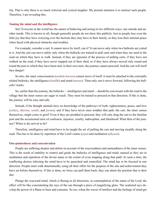rity. That is why there is so much criticism and cynical laughter. My present intention is to instruct such people. Therefore, I am revealing this.

#### **Taming the mind and the intelligence**

See! Everyone in the world has the nature of behaving and acting in two different ways: one outside and another inside. This is known to all, though generally people do not show this publicly. Just as people lose even the little joy that they have worrying over the factions they may have in their family, so they lose their internal peace when faced with physical obstacles and troubles.

For example, consider a cart. It cannot move by itself, can it? It can move only when two bullocks are yoked to it. And the cart can move safely only when the bullocks are trained to pull carts and when they are used to the road on which they have to walk. Instead, if they are ignorant of the process of pulling carts, if they have not walked on the road, if they have never stepped out of their shed, or if they have always moved only round and round the post to which they have been tied, in their own mire, the journey cannot proceed! And the cart will itself face danger!

So also, the inner consciousness (*[anthah-karana](#page-51-2)*) cannot move of itself; it must be attached to the externally related bullocks, the intelligence (*[buddhi](#page-53-2)*) and mind (*[manas](#page-56-4)*). Then only can it move forward, following the bullocks' tracks.

So, earlier than the journey, the bullocks —intelligence and mind— should be conversant with the road to the village that the inner senses are eager to reach. They must be trained to proceed in that direction. If this is done, the journey will be easy and safe.

Instead, if the draught animals have no knowledge of the pathways of truth, righteousness, peace, and love (*[sathya](#page-59-2)*, *[dharma](#page-53-0)*, *[santhi](#page-58-1)*, and *[prema](#page-57-0)*), and if they have never once trodden that path, the cart, the inner senses themselves, might come to grief! Even if they are prodded to proceed, they will only drag the cart to the familiar post and the accustomed mire of confusion, injustice, cruelty, indiscipline, and falsehood! What then of the journey? When is the arrival to be?

Therefore, intelligence and mind have to be taught the art of pulling the cart and moving steadily along the road. This has to be done by repetition of the Lord's name (*[japa](#page-54-3)*) and meditation (*[dhyana](#page-53-1)*).

#### **One-pointedness and concentration**

People are suffering despair and defeat on account of the waywardness and unsteadiness of the inner senses. This is the result of inability to control and guide the bullocks of intelligence and mind, unused as they are to meditation and repetition of the divine name to the extent of even stepping along that path! At such a time, the conflicting desires infecting the mind have to be quenched and controlled. The mind has to be focused in one direction. People must walk determinedly, using all their effort for the purpose of the aim and achievement they have set before themselves. If this is done, no force can pull them back; they can attain the position that is their due.

Plunge the wayward mind, which is fleeing in all directions, in contemplation of the name of the Lord; the effect will be like concentrating the rays of the sun through a piece of magnifying glass. The scattered rays develop the power of a flame to burn and consume. So too, when the waves of intellect and the feelings of mind get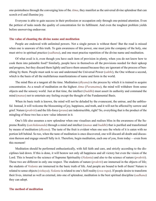<span id="page-9-0"></span>one-pointedness through the converging lens of the *[Atma](#page-51-3)*, they manifest as the universal divine splendour that can scorch evil and illumine joy.

Everyone is able to gain success in their profession or occupation only through one-pointed attention. Even the pettiest of tasks needs the quality of concentration for its fulfilment. And even the toughest problem yields before unswerving endeavour.

#### **The value of chanting the divine name and meditation**

People are endowed with unlimited powers. Not a single person is without them! But the road is missed when one is unaware of this truth. To gain awareness of this power, one must join the company of the holy, one must strive in spiritual practice (*[sadhana](#page-58-2)*), and one must practise repetition of the divine name and meditation.

Of what avail is it, even though you have each item of provision in plenty, when you do not know how to cook them into palatable food? Similarly, people have in themselves all the provisions needed for their upkeep and progress, but they discard them lightly and leave them unused because they are ignorant of the process of benefiting by them. People must seek to see and understand the Universal Power (*[sakthi](#page-58-3)*), the One without a second, which is the basis of all the multifarious manifestations of name and form in the world.

The mind flies at a tangent all the time. Meditation (*[dhyana](#page-53-1)*) is the process by which it is trained to acquire concentration. As a result of meditation on the highest *[Atma](#page-51-3)* (*[Paramatma](#page-57-1)*), the mind will withdraw from sense objects and the sensory world. Just at that time, the intellect (*[buddhi](#page-53-2)*) must assert its authority and command the mind (*[manas](#page-56-4)*) not to entertain any feeling except the thought of the Fundamental Basis.

When its basic truth is known, the mind will not be deluded by the evanescent, the untrue, and the unblissful. Instead, it will welcome the blossoming of joy, happiness, and truth, and it will not be affected by sorrow and grief. Nature (*[prakriti](#page-57-2)*) and the life-force (*[prana](#page-57-3)*) are indestructible, right? So, everything that is the product of the mingling of these two has a new value inherent in it.

One's life also assumes a new splendour when one visualises and realises bliss in the awareness of the Supreme Reality (*[satchidananda](#page-59-3)*) through a mind and intellect (*[manas](#page-56-4)* and *[buddhi](#page-53-2)*) that is purified and transformed by means of meditation (*[dhyana](#page-53-1)*). The taste of the fruit is evident when one sees the whole of it is eaten with no portion left behind. So too, when the taste of meditation is once discovered, one will discard all doubt and discussion thereon and engage oneself fully in it. Therefore, begin meditation, each one of you, from today —even from this moment!

Meditation should be performed enthusiastically, with full faith and care, and strictly according to the disciplines laid down. If this is done, it will bestow not only all happiness and all victory but even the vision of the Lord. This is bound to the science of Supreme Spirituality (*[Vedanta](#page-61-0)*) and also to the science of nature (*[prakriti](#page-57-2)*). These two are different in only one respect. The students of nature (*[prakriti](#page-57-2)*) are immersed in the objects of life; the students of *[Vedanta](#page-61-0)* are immersed in the basic truth of life. And people are bound to both of them! Nature is related to sense objects (*vishaya*); *[Vedanta](#page-61-0)* is related to one's Self-reality (*swa-rupa*). If people desire to transform their lives, internal as well as external, into one of splendour, meditation is the best spiritual discipline (*[sadhana](#page-58-2)*) they can adopt.

#### **The method of meditation**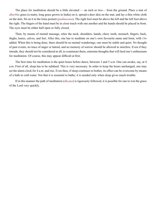<span id="page-10-0"></span>The place for meditation should be a little elevated — an inch or two— from the ground. Place a mat of *dharbha* grass (a matty, long grass grown in India) on it, spread a deer skin on the mat, and lay a thin white cloth on the skin. Sit on it in the lotus posture (*[padmasana](#page-57-4)*). The right foot must be above the left and the left foot above the right. The fingers of the hand must be in close touch with one another and the hands should be placed in front. The eyes must be either half open or fully closed.

Then, by means of mental massage, relax the neck, shoulders, hands, chest, teeth, stomach, fingers, back, thighs, knees, calves, and feet. After this, one has to meditate on one's own favourite name and form, with *[Om](#page-56-5)* added. When this is being done, there should be no mental wanderings; one must be stable and quiet. No thought of past events, no trace of anger or hatred, and no memory of sorrow should be allowed to interfere. Even if they intrude, they should not be considered at all; to counteract them, entertain thoughts that will feed one's enthusiasm for meditation. Of course, this may appear difficult at first.

The best time for meditation is the quiet hours before dawn, between 3 and 5 a.m. One can awake, say, at 4 a.m. First of all, sleep has to be subdued. This is very necessary. In order to keep the hours unchanged, one may set the alarm clock for 4 a.m. and rise. Even then, if sleep continues to bother, its effect can be overcome by means of a bath in cold water. Not that it is essential to bathe; it is needed only when sleep gives much trouble.

If in this manner the path of meditation (*[dhyana](#page-53-1)*) is rigorously followed, it is possible for one to win the grace of the Lord very quickly.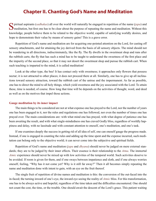## **Chapter II. Chanting God's Name and Meditation**

<span id="page-11-0"></span> $\sum$  piritual aspirants ([sadhakas](#page-58-4)) all over the world will naturally be engaged in repetition of the name ([japa](#page-54-3)) and meditation, but first one has to be clear about the purpose of repeating the name and meditation. Withou knowledge, people believe them to be related to the objective world, capable of satisfying worldly desires, and hope to demonstrate their value by means of sensory gains! This is a grave error.

Repetition of God's name and meditation are for acquiring one-pointed attention on the Lord, for casting off sensory attachments, and for attaining the joy derived from the basis of all sensory objects. The mind should not be wandering in all directions, indiscriminately, like the fly. The fly dwells in the sweetmeat shop and runs after the rubbish carts; the fly that has such a mind has to be taught to understand the sweetness of the first place and the impurity of the second place, so that it may not desert the sweetmeat shop and pursue the rubbish cart. When such teaching is imparted to the mind, it is called meditation!

Look at the other type, the bee! It has contact only with sweetness; it approaches only flowers that possess nectar; it is not attracted to other places; it does not proceed there at all. Similarly, one has to give up all inclinations toward sensory attraction, toward the rubbish cart of the untrue and the impermanent. As far as possible, one has to direct the mind to all holy things, which yield sweetness and the joy associated with the Lord. To attain these, time is needed, of course. How long that time will be depends on the activities of thought, word, and deed as well as on the motives that impel those actions.

#### **Gauge meditation by its inner impact**

The main things to be considered are not at what expense one has prayed to the Lord, nor the number of years one has been engaged in it, nor the rules and regulations one has followed, nor even the number of times one has prayed over. The main considerations are: with what mind one has prayed, with what degree of patience one has been awaiting the result, and with what single-mindedness one has craved Godly bliss, regardless of worldly happiness and delay, with no lassitude and with constant attention to oneself, one's meditation, and one's task.

If one examines deeply the success in getting rid of all idea of self, one can oneself gauge the progress made. Instead, if one is engaged in counting the rules and adding up the time spent and the expense incurred, such meditation can belong only to the objective world; it can never come into the subjective and spiritual fields.

Repetition of God's name and meditation (*[japa](#page-54-3)* and *[dhyana](#page-53-1)*) should never be judged on mere external standards; they are to be judged by their inner effects. Their essence is their relationship to the *[Atma](#page-51-3)*. The immortal *[Atmic](#page-52-1)* experience should never be mixed up with low activities of the temporal world. Such activities deserve to be avoided. If room is given for them, and if one sways between impatience and sloth, and if one always worries oneself, feeling, "Why has it not come yet? Why is it still far away?" Then it all becomes simply repeating the name and meditation done with intent to gain, with an eye on the fruit thereof.

The single fruit of repetition of divine names and meditation is this: the conversion of the out-faced into the in-faced; the turning inward of one's eye, the inward eye seeing the reality of *[Atmic](#page-52-1)* bliss. For this transformation, one has to be always active and hopeful, regardless of the time taken and the difficulties encountered. One should not count the cost, the time, or the trouble. One should await the descent of the Lord's grace. This patient waiting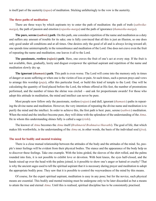is itself part of the austerity (*tapas*) of meditation. Sticking unfalteringly to the vow is the austerity.

#### **The three paths of meditation**

There are three ways by which aspirants try to enter the path of meditation: the path of truth (*[sathwika](#page-59-4)[marga](#page-59-4)*), the path of passion and emotion (*[rajasika-marga](#page-58-5)*) and the path of ignorance (*thamasika-marga*).

**The pure, serene (***[sathwic](#page-59-5)***) path**. On this path, one considers repetition of the name and meditation as a duty and suffers any amount of trouble for its sake; one is fully convinced that all this is just an illusion, so one does only good under all conditions and at all times. One desires only the good of all and is always loving toward all; one spends time uninterruptedly in the remembrance and meditation of the Lord. One does not crave even the fruit of repeating the name and meditation; one leaves it all to the Lord.

**The passionate, restless (***[rajasic](#page-57-5)***) path**. Here, one craves the fruit of one's act at every step. If the fruit is not available, then, gradually, laxity and disgust overpower the spiritual aspirant and repetition of the name and meditation slowly dry up.

**The ignorant (***thamasic***) path**. This path is even worse. The Lord will come into the memory only in times of danger or acute suffering or when one is the victim of loss or pain. At such times, such a person prays and vows to arrange this worship (*[puja](#page-57-6)*), offer this particular food, or build this kind of temple to the Lord. One will be calculating the quantity of food placed before the Lord, the tribute offered at His feet, the number of prostrations performed, and the number of times the shrine was circled —and ask for proportionate awards! For those who adopt this attitude in meditation, the mind and intellect can never be pure.

Most people now follow only the passionate, restless (*[rajasic](#page-57-5)*) and dull, ignorant (*thamasic*) paths in repeating the divine name and meditation. However, the very intention of repeating the divine name and meditation is to purify the mind and the intellect. In order to achieve this, the first path is best: pure, serene (*[sathwic](#page-59-5)*) meditation. When the mind and the intellect become pure, they will shine with the splendour of the understanding of the *[Atma](#page-51-3)*. He in whom this understanding shines fully is called a sage (*[rishi](#page-58-6)*).

The knower of *[Atma](#page-51-3)* becomes the *[Atma](#page-51-3)* itself (*Brahmavid Brahmaiva bhavathi*). The goal of life, that which makes life worthwhile, is the understanding of the *[Atma](#page-51-3)* or, in other words, the basis of the individual soul (*[jiva](#page-54-4)*).

#### **The need for bodily and mental training**

There is a close mutual relationship between the attitudes of the body and the attitudes of the mind. So, people's inner feelings will be evident from their physical bodies. The stance and the appearance of the body help us to discover these feelings. Take one example. With the loins girded, the sleeves of the shirt rolled, and the palms rounded into fists, it is not possible to exhibit love or devotion. With bent knees, the eyes half-closed, and the hands raised up over the head with the palms joined, is it possible to show one's anger or hatred or cruelty? That is why the ancient sages used to tell the spiritual aspirant that it is necessary during prayer and meditation to adopt the appropriate bodily pose. They saw that it is possible to control the waywardness of the mind by this means.

Of course, for the expert spiritual aspirant, meditation is easy in any pose; but for the novice, such physical means are essential. This bodily and mental training must be undergone only to be later discarded as but a means to attain the true and eternal *[Atma](#page-51-3)*. Until this is realised, spiritual discipline has to be consistently practised.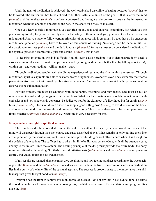<span id="page-13-0"></span>Until the goal of meditation is achieved, the well-established discipline of sitting postures (*[asanas](#page-51-4)*) has to be followed. The curriculum has to be adhered to till then. After attainment of the goal —that is, after the mind (*[manas](#page-56-4)*) and the intellect (*[buddhi](#page-53-2)*) have been conquered and brought under control— one can be immersed in meditation wherever one finds oneself: on the bed, in the chair, on a rock, or in a cart.

Once you learn to ride a motorcycle, you can ride on any road and under all conditions. But when you are just learning to ride, for your own safety and for the safety of those around you, you have to select an open parade ground. And you have to follow certain principles of balance; this is essential. So too, those who engage in meditational practice (*[sadhana](#page-58-2)*) have to follow a certain course of training. No change can be made in this. So, the passionate, restless (*[rajasic](#page-57-5)*) and the dull, ignorant (*thamasic*) forms can never be considered meditation. If the spiritual practice becomes fully pure and serene (*[sathwic](#page-59-5)*), that is best.

To describe anything in words is difficult; it might even cause boredom. But to demonstrate it by deed is easier and more pleasant! To make people understand by doing meditation is better than by talking about it! My writing on it and your reading it will not make it easy.

Through meditation, people reach the divine experience of realising the *[Atma](#page-51-3)* within themselves. Through meditation, spiritual aspirants are able to cast off sheaths of ignorance, layer after layer. They withdraw their sense perceptions from contact with worldly objective experiences. The process that aims at this holy consummation deserves to be called meditation.

For this process, one must be equipped with good habits, discipline, and high ideals. One must be full of renunciation toward worldly things and their attractions. Whatever the situation, one should conduct oneself with enthusiasm and joy. Whatever is done must be dedicated not for the eking out of a livelihood but for earning *[Atmic](#page-52-1)* bliss (*[Atma-ananda](#page-51-1)*). One should train oneself to adopt a good sitting pose (*[asana](#page-51-4)*), to avoid tension of the body, and to ease the mind from the weight and pressure of the body. This is what deserves to be called pure meditational practice (*[sathwika](#page-59-5) [dhyana](#page-53-1) [sadhana](#page-58-2)*). Discipline is very necessary for this.

#### **Everyone has the right to spiritual success**

The troubles and tribulations that come in the wake of an attempt to destroy the undesirable activities of the mind will disappear through the strict course and rules described above. What remains is only putting them into actual practice by the spiritual aspirant. Even the most powerful drug cannot effect a cure when it is brought to the bedside of the patient. The sufferer has to take it in, little by little, as per schedule, with all the attendant care, and try to assimilate it into the system. The healing principle of the drug must pervade the entire body; the body must be suffused with the drug. Similarly, the authoritative texts (*[siddhanthas](#page-59-6)*) and the *[Vedanta](#page-61-0)* have no power to destroy individual faults and 15 weaknesses.

If full results are wanted, then one must give up all false and low feelings and act according to the true teachings of the *[Vedanta](#page-61-0)* and the *[siddhanthas](#page-59-6)*. If one does, one will attain the fruit. The secret of success in meditation lies in the purity of the inner life of the spiritual aspirant. The success is proportionate to the importance the spiritual aspirant gives to right conduct (*[san-marga](#page-58-7)*).

Everyone has the right to achieve this high degree of success. I do not say this in just a quiet tone; I declare this loud enough for all quarters to hear. Knowing this, meditate and advance! Do meditation and progress! Realise the *[Atma](#page-51-3)*!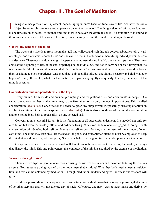## **Chapter III. The Goal of Meditation**

<span id="page-14-0"></span>I iving is either pleasant or unpleasant, depending upon one's basic attitude toward life. See how the same object becomes pleasant once and unpleasant on another occasion! The thing welcomed with great fondness at one time becomes hateful at another time and there is not even the desire to see it. The condition of the mind at those times is the cause of this state. Therefore, it is necessary to train the mind to be always pleasant.

#### **Control the temper of the mind**

The waters of a river leap from mountains, fall into valleys, and rush through gorges; tributaries join at various stages, and the waters become turbid and unclean. So too, in the flood of human life, speed and power increase and decrease. These ups and downs might happen at any moment during life. No one can escape them. They may come at the beginning of life, at the end, or perhaps in the middle. So, one has to convince oneself firmly that life is necessarily full of ups and downs and that, far from being afraid and worried over them, one should welcome them as adding to one's experience. One should not only feel like this, but one should be happy and glad whatever happens! Then, all troubles, whatever their nature, will pass away lightly and quickly. For this, the temper of the mind is essential.

#### **Concentration and one-pointedness are the keys**

Every minute, from inside and outside, promptings and temptations arise and accumulate in people. One cannot attend to all of them at the same time, so one fixes attention on only the most important one. This is called concentration (*[avadhana](#page-52-2)*). Concentration is needed to grasp any subject well. Purposefully directing attention on a subject and fixing it there is one-pointedness (*[ekagratha](#page-53-3)*). This is also a condition of the mind. Concentration and one-pointedness help to focus effort on any selected task.

Concentration is essential for all. It is the foundation of all successful endeavour. It is needed not only for meditation but even for worldly affairs and ordinary living. Whatever the task one is engaged in, doing it with concentration will develop both self-confidence and self-respect, for they are the result of the attitude of one's own mind. The mind may lean on either the bad or the good, and concentrated attention must be employed to keep the mind attached only to good prompting. Success or failure in the good task depends upon one-pointedness.

One-pointedness will increase power and skill. But it cannot be won without conquering the worldly cravings that distract the mind. This one-pointedness, this conquest of the mind, is acquired by the exercise of meditation.

#### **Yearn for the right thing!**

There are two types of people: one set on accusing themselves as sinners and the other flattering themselves as great. Both types are being worried by their own mental aberrations! What they both need is mental satisfaction, and this can be obtained by meditation. Through meditation, understanding will increase and wisdom will grow.

For this, a person should develop interest in and a taste for meditation —that is to say, a yearning that admits of no other step and that will not tolerate any obstacle. Of course, one may yearn to hear music and derive joy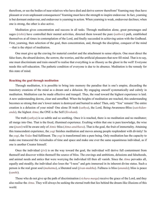<span id="page-15-0"></span>therefrom, or see the bodies of near relatives who have died and derive sorrow therefrom! Yearning may thus have pleasant or even unpleasant consequences! Yearning must have the strength to inspire endeavour. In fact, yearning is but dormant endeavour, and endeavour is yearning in action. When yearning is weak, endeavour declines; when one is strong, the other is also active.

Meditation gives concentration and success in all tasks. Through meditation alone, great personages and sages (*[rishis](#page-58-6)*) have controlled their mental activities, directed them toward the pure (*[sathwic](#page-59-5)*) path, established themselves at all times in contemplation of the Lord, and finally succeeded in achieving union with the Godhead. First, yearning, then selection of the goal, then concentration, and, through the discipline, conquest of the mind —that is the object of meditation.

One must give up the craving for material comfort and the attachment to sense objects. One must direct the false fears, the absurd desires, the sorrow, the worries, and the artificial pleasures that now fill mind. That is to say, one must discriminate and train oneself to realise that everything is as illusory as the ghost in the well! Everyone needs this self-education. The pathetic condition of everyone is due to its absence. Meditation is the remedy for this state of mind.

#### **Reaching the goal through meditation**

Through meditation, it is possible to bring into memory the paradise that is one's empire, discarding the transitory creations of the mind as a dream and a delusion. By engaging oneself systematically and calmly in meditation. Meditation can be made effective and tranquil. Thus, the road toward the highest experience is laid. A new understanding dawns, clear and unruffled. When the heights of meditation are reached, this understanding becomes so strong that one's lower nature is destroyed and burned to ashes! Then, only "You" remain! The entire creation is a delusion of your mind! One alone IS truth (*[sathya](#page-59-2)*), the Lord, Being-Awareness-Bliss (*[satchidan](#page-59-3)[anda](#page-59-3)*), the highest *[Atma](#page-51-3)*; the ONE is the Self (*[Sivoham](#page-59-7)*).

The truth (*[sathya](#page-59-2)*) is so subtle and so soothing. Once it is reached, there is no meditation and no meditator; all merge into One. That is the fixed, illumined experience. Exulting within that one is pure knowledge, the wise one (*[jnani](#page-55-2)*) will be aware only of *[Atmic](#page-52-1)* bliss (*[Atma-anubhava](#page-51-5)*). That is the goal, the fruit of immortality. Attaining this transcendent experience, the *yogi* finishes meditation and moves among people resplendent with divinity! In the *yogi*, the *[Vedas](#page-61-1)* find fulfilment. The *yogi* is transformed into a pure being. Only meditation has the capacity to make one transcend the vicissitudes of time and space and make one ever the same equanimous individual, as if one is another Creator himself.

Once the individual (*[jivi](#page-54-5)*) is on the way toward the goal, the individual will derive full contentment from themself and discover within themself the source of bliss. The cravings and ambitions, delusions and falsehoods, and animal needs and antics that were worrying the individual till then all vanish. Since the *[Atma](#page-51-3)* pervades all, equally and steadily, the individual also loses the "I-ness" and gets immersed in its inherent divine status. Such a person is the real great soul (*[mahatma](#page-56-6)*), a liberated soul (*[jivan-muktha](#page-54-6)*). Fullness is bliss (*[ananda](#page-51-6)*); bliss is peace (*[santhi](#page-58-1)*).

Those who do not give up the path of discrimination (*vichara [marga](#page-56-3)*) receive the grace of the Lord, and they also realise the *[Atma](#page-51-3)*. They will always be seeking the eternal truth that lies behind the dream-like illusions of this world.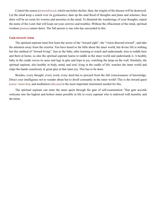Control the senses (*[jnanendriyas](#page-55-3)*), which run helter-skelter; then, the origins of the disease will be destroyed. Let the mind keep a watch over its gymnastics; dam up the mad flood of thoughts and plans and schemes; then there will be no room for worries and anxieties in the mind. To diminish the wanderings of your thoughts, repeat the name of the Lord; that will keep out your sorrows and troubles. Without the effacement of the mind, spiritual wisdom (*[jnana](#page-54-7)*) cannot dawn. The full person is one who has succeeded in this.

#### **Gain inward vision**

The spiritual aspirant must first learn the secret of the "inward sight", the "vision directed inward", and take the attention away from the exterior. You have heard so far little about the inner world, but divine life is nothing but this method of "inward living". Just as the baby, after learning to watch and understands, tries to toddle here and there at home, so also the spiritual aspirant learns to toddle in the inner world and understands it. A healthy baby in the cradle waves its arms and legs in glee and lisps in joy, watching the lamp on the wall. Similarly, the spiritual aspirant, also healthy in body, mind, and soul, lying in the cradle of life, watches the inner world and claps the hands ceaselessly in great glee at that inner joy. This has to be done.

Besides, every thought, every word, every deed has to proceed from the full consciousness of knowledge. Direct your intelligence not to wander about but to dwell constantly in the inner world! This is the inward quest (*[antar vimarsha](#page-51-7)*), and meditation (*[dhyana](#page-53-1)*) is the most important instrument needed for this.

The spiritual aspirant can enter the inner quest through the gate of self-examination. That gate accords welcome into the highest and holiest status possible in life to every aspirant who is endowed with humility and devotion.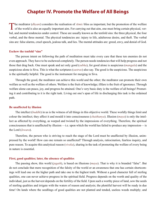## **Chapter IV. Promote the Welfare of All Beings**

<span id="page-17-0"></span>The meditator (*[dhyani](#page-53-4)*) considers the realisation of *[Atmic](#page-52-1)* bliss as important, but the promotion of the welfare **L** of the world is also an equally important aim. For carrying out that aim, one must bring certain physical, verbal, and mental tendencies under control. These are usually known as the tenfold sins: the three physical, the four verbal, and the three mental. The physical tendencies are: injury to life, adulterous desire, and theft. The verbal sins are: false alarms, cruel speech, jealous talk, and lies. The mental attitudes are: greed, envy, and denial of God.

#### **Eschew the tenfold "sins"**

The person intent on following the path of meditation must take every care that these ten enemies do not even approach. They have to be eschewed completely. The person needs tendencies that will help progress and not those that drag back. One must speak and act only good (*subha*), for good alone is auspicious (*[mangala](#page-56-7)*) and the auspicious alone is [Siva](#page-59-8). This is what the scriptures (*[sastras](#page-59-9)*) also say. The good is the auspicious. The auspicious is the spiritually helpful. The good is the instrument for merging in [Siva](#page-59-8).

Through the good, the meditator can achieve this world and the other; the meditator can promote their own welfare as well as the welfare of others. Welfare is the fruit of knowledge; illfare is the fruit of ignorance. Through welfare alone can peace, joy, and progress be attained. One's very basic duty is the welfare of all beings! Promoting it and contributing to it is the right task. Living out one's span of life in discharging this task is the ordained path.

#### **Be unaffected by illusion**

The intellect (*[buddhi](#page-53-2)*) in us is the witness of all things in this objective world. These worldly things limit and colour the intellect; they affect it and mould it into consciousness (*[chaithanya](#page-53-5)*). Illusion (*[maya](#page-56-8)*) is only the intellect as affected by everything, as warped and twisted by the impressions of everything. Therefore, the spiritual consciousness that is unaffected by illusion —i.e. upon which the world has failed to produce any impression— is the Lord (*[Iswara](#page-54-8)*).

Therefore, the person who is striving to reach the stage of the Lord must be unaffected by illusion, unimpressed by the world! How can one remain so unaffected? Through analysis, ratiocination, fearless inquiry, and pure reason. To acquire this analytical reason (*viveka*), sharing in the task of promoting the welfare of every being in nature is essential.

#### **First, good qualities; later, the absence of qualities**

The passing show, this world (*[jagath](#page-54-9)*), is based on illusions (*[maya](#page-56-8)*). That is why it is branded "false". But do not conclude that mere recognition of the falsity of the world or an awareness that one has certain shortcomings will lead one on the higher path and take one to the highest truth. Without a good character full of sterling qualities, one can never achieve progress in the spiritual field. Progress depends on the worth and quality of the individual, just as the harvest depends on the fertility of the field. Upon such a worthy piece of land, sow the seeds of sterling qualities and irrigate with the waters of reason and analysis; the plentiful harvest will be ready in due time! On lands where the seedlings of good qualities are not planted and tended, useless weeds multiply; and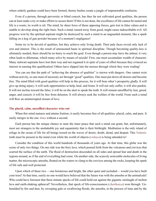<span id="page-18-0"></span>where orderly gardens could have been formed, thorny bushes create a jungle of impenetrable confusion.

Even if a person, through perversity or blind conceit, has thus far not cultivated good qualities, the person can at least make a try or make efforts to secure them! If this is not done, the excellence of life cannot be tasted and life is a waste; its worth is nil. The mind, by sheer force of these opposing forces, gets lost in false values and is unable to develop along the right lines. Such a mind, turned away from good, might cause indescribable evil. All progress won by the spiritual aspirant might be destroyed by such a mind in an unguarded moment, like a spark falling on a keg of gun powder because of a moment's negligence!

Some try to be devoid of qualities, but they achieve only living death. Their pale faces reveal only lack of zest and interest. This is the result of unreasoned haste in spiritual discipline. Though becoming quality-less is ultimately needed, there should be no hurry to reach the goal. Even though a person may have the ardour, it very often leads to dilemmas, which many solve by means of suicide! First, one must accumulate wealth of character. Many stalwart aspirants have lost their way and not regained it in spite of years of effort because they evinced no interest in earning this qualification! Others have slipped into the morass through which they were wading!

You can see that the path of "achieving the absence of qualities" is strewn with dangers. One cannot exist without activity, so one must of necessity act through "good" qualities. One must put down all desires and become free. The mind filled with good qualities will help in this process, for it will bear other's prosperity gladly. It will give up doing injury; it will seek opportunities to help, heal, and foster. It will not only suffer; it will also pardon. It will not incline toward the false; it will be on the alert to speak the truth. It will remain unruffled by lust, greed, anger, and conceit; it will be free from delusion. It will always seek the welfare of the world. From such a mind will flow an uninterrupted stream of love.

#### **The placid, calm, unruffled character wins out**

When this mind matures and attains fruition, it easily becomes free of all qualities: placid, calm, and pure. It easily merges in the one *[Atma](#page-51-3)* without a second.

Each person has the unique chance to taste the inner peace that such a mind can grant, but, unfortunately, most are strangers to the unshakable joy and equanimity that is their birthright. Meditation is the only island of refuge in the ocean of life for all beings tossed on the waves of desire, doubt, dread, and despair. This *[Vedantic](#page-61-2)* truth must be present in the mind even while the world of objects (*vishaya*) is being attended to!

Consider the condition of this world hundreds of thousands of years ago. At that time, this globe was the scene of only two things. On one side was the fiery lava, which poured forth from the volcanoes and crevices that scarred the surface of the earth. The flood of destruction descended on all sides and spread fear and death in the regions around, as if the end of everything had come. On another side, the scarcely noticeable molecules of living matter, the microscopic amoeba, floated on the waters or clung to the crevices among the rocks, keeping the spark of life safe and well protected.

Upon which of these two —one boisterous and bright, the other quiet and secluded— would you have built your trust? At that time, surely no one would have believed that the future was with the amoeba or the animalcule! Who could have foreseen that these minute specks of life could hold out against the gigantic onslaught of molten lava and earth-shaking upheaval? Nevertheless, that speck of life-consciousness (*[chaithanya](#page-53-5)*) won through. Unheralded by fire and dust, by swooping gale or swallowing floods, the amoeba, in the process of time and by the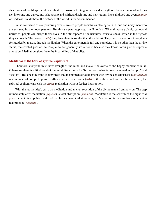<span id="page-19-0"></span>sheer force of the life-principle it embodied, blossomed into goodness and strength of character, into art and music, into song and dance, into scholarship and spiritual discipline and martyrdom, into sainthood and even *[Avatars](#page-52-3)* of Godhead! In all these, the history of the world is found summarised.

In the confusion of overpowering events, we see people sometimes placing faith in loud and noisy men who are enslaved by their own passions. But this is a passing phase; it will not last. When things are placid, calm, and unruffled, people can merge themselves in the atmosphere of delusionless consciousness, which is the highest they can reach. The peace (*[santhi](#page-58-1)*) they taste there is subtler than the subtlest. They must ascend to it through effort guided by reason, through meditation. When the enjoyment is full and complete, it is no other than the divine status, the coveted goal of life. People do not generally strive for it, because they know nothing of its supreme attraction. Meditation gives them the first inkling of that bliss.

#### **Meditation is the basis of spiritual experience**

Therefore, everyone must now strengthen the mind and make it be aware of the happy moment of bliss. Otherwise, there is a likelihood of the mind discarding all effort to reach what is now dismissed as "empty" and "useless". But once the mind is convinced that the moment of attunement with divine consciousness (*[chaithanya](#page-53-5)*) is a moment of complete power, suffused with divine power (*[sakthi](#page-58-3)*), then the effort will not be slackened; the spiritual aspirant can reach the *[Atmic](#page-52-1)* realisation without further interruption.

With this as the ideal, carry on meditation and mental repetition of the divine name from now on. The step immediately after meditation (*[dhyana](#page-53-1)*) is total absorption (*[samadhi](#page-58-8)*). Meditation is the seventh of the eight-fold *yoga*. Do not give up this royal road that leads you on to that sacred goal. Meditation is the very basis of all spiritual practice (*[sadhana](#page-58-2)*).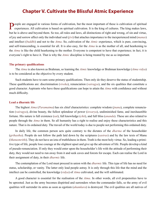## **Chapter V. Cultivate the Blissful Atmic Experience**

<span id="page-20-0"></span>People are engaged in various forms of cultivation, but the most important of these is cultivation of spiritual experiences. All cultivation is based on spiritual cultivation. It is the king of cultures. The king makes law but he is above and beyond them. So too, all rules and laws, all distinctions of right and wrong, of sin and virtue, of joy and sorrow affect only the individual soul (*[jivi](#page-54-5)*) that attaches importance to the inexperienced mind (*[manas](#page-56-4)*) and intellect (*[buddhi](#page-53-2)*) and not to the *[Atma](#page-51-3)*. So, cultivation of the *[Atmic](#page-52-1)* experience, which is pure, convincing, and self-transcending, is essential for all. It is also easy, for the *[Atma](#page-51-3)* is as the mother of all, and hearkening to the *[Atma](#page-51-3)* is like the child hearkening to the mother. Everyone is competent to have that experience; in fact, it is everyone's right to have it. That is why the *[Atmic](#page-52-1)* discipline is being treated by me as so important.

#### **The primary qualifications**

The *[Atma](#page-51-3)* is also known as [Brahman](#page-52-4), so learning the *[Atmic](#page-52-1)* knowledge or [Brahman](#page-52-4) knowledge (*[Atma vidya](#page-52-5)*) is to be considered as the objective by every student.

Such students have to earn some primary qualifications. Then only do they deserve the status of studentship. These qualifications are: discrimination (*viveka*), renunciation (*vairagya*), and the six qualities that constitute a good character. Aspirants who have these qualifications can hope to attain the *[Atma](#page-51-3)* with confidence and without much difficulty.

#### **Lead a dharmic life**

The highest *[Atma](#page-51-3)* (*[Paramatma](#page-57-1)*) has six chief characteristics: complete wisdom (*[jnana](#page-54-7)*), complete renunciation (*vairagya*), divine beauty, the fullest splendour of power (*[iswarya](#page-54-10)*), undiminished fame, and inexhaustible fortune. His nature is full existence (*[sat](#page-59-10)*), full knowledge (*[chit](#page-53-6)*), and full bliss (*[ananda](#page-51-6)*). These are also related to people through the *[Atma](#page-51-3)* in them. So all humanity has a right to realise and enjoy these characteristics and this nature. That is its ordained duty. The travail of the world today is due to people not performing this ordained duty.

In daily life, the common person acts quite contrary to the dictates of the *[dharma](#page-53-0)* of the householder (*[grihastha](#page-54-11)*). People do not follow the path laid down by the scriptures (*[sastras](#page-59-9)*) and by the law texts of [Manu](#page-56-9)  (*[Manusmrithi](#page-56-10)*). They do not have an iota of truthfulness in them. Truth is the most holy virtue. So, leading a primitive type of life, people lose courage at the slightest upset and give up the adventure of life. People develop a kind of pseudo-renunciation. If only they would enter upon the householder's life with the attitude of performing their duty, they would not need to run away from it and seek caves and forests for escape. Each can realise the Lord in their assignment of duty, in their *[dharmic](#page-53-7)* life.

The contemplation of the Lord must proceed in union with the *[dharmic](#page-53-7)* life. This type of life has no need for status, scholarship, or vanity. The latter only lead people astray. It is only through this life that the mind and the intellect can be controlled, the knowledge (*vidya*) of *[Atma](#page-51-3)* cultivated, and the will sublimated.

A good character is essential for the realisation of the *[Atma](#page-51-3)*. In other words, all evil propensities have to be uprooted. Just as the army becomes dispirited and surrenders when the commander falls, so the army of evil qualities will surrender its arms as soon as egotism (*[ahamkara](#page-51-8)*) is destroyed. The evil qualities are all natives of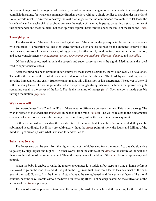<span id="page-21-0"></span>the realm of anger, so if that region is devastated, the soldiers can never again raise their heads. It is enough to accomplish this alone, for what can commander Egotism achieve without a single soldier to march under his orders? So, all efforts must be directed to destroy the realm of anger so that no commander can venture to let loose the hounds of war. Let each spiritual aspirant preserve the region of his mind in peace, by putting a stop to the rise of this commander and these soldiers. Let each spiritual aspirant bask forever under the smile of the ruler, the *[Atma](#page-51-3)*.

#### **The eight gates**

The destruction of the modifications and agitations of the mind is the prerequisite for getting an audience with that ruler. His reception hall has eight gates through which one has to pass for the audience: control of the inner senses, control of the outer senses, sitting posture, breath control, mind control, concentration, meditation, and super-consciousness (*yama*, *[niyama](#page-56-11)*, *[asana](#page-51-4)*, *[pranayama](#page-57-7)*, *[prathyahara](#page-57-8)*, *[dharana](#page-53-8)*, *[dhyana](#page-53-1)*, and *[samadhi](#page-58-8)*).

Of these eight gates, meditation is the seventh and super-consciousnes is the eighth. Meditation is the royal road to super-consciousness.

After the mind has been brought under control by these eight disciplines, the will can easily be developed. The will is the nature of the Lord; it is also referred to as the Lord's ordinance. The Lord, by mere willing, can do anything immediately and easily. But one cannot realise this will as soon as it is entertained. The power of the will is the deciding factor. The will is generally not so overpoweringly strong; when one achieves that power, one gets something equal to the power of the Lord. That is the meaning of merger (*[laya](#page-55-4)*). Such merger is made possible through meditation (*[dhyana](#page-53-1)*).

#### **Wish versus will**

Some people use "wish" and "will" as if there was no difference between the two. This is very wrong. The wish is related to the tendencies (*vasanas*) embedded in the mind (*[manas](#page-56-4)*). The will is related to the fundamental character of *[Atma](#page-51-3)*. Wish means the craving to get something; will is the determination to acquire it.

Both wish and will are based on the moral culture of the individual. Once the *[Atma](#page-51-3)* is cultivated, they can be sublimated accordingly. But if they are cultivated without the *[Atmic](#page-52-1)* point of view, the faults and failings of the mind will get mixed up with what is wished for and willed for.

#### **Take it step by step**

The lower step can be seen from the higher step, not the higher step from the lower. So, one should strive to go step by step, higher and higher —in other words, from the culture of the *[Atma](#page-51-3)* to the culture of the will and thence to the culture of the moral conduct. Then, the enjoyment of the bliss of the *[Atma](#page-51-3)* becomes quite easy and natural.

When the baby is unable to walk, the mother encourages it to toddle a few steps at a time at home before it is allowed to go on the road. Instead, if it is put on the high road first, how can it learn? Besides, what of the dangers of the road? So also, first the internal factors have to be strengthened, and then external factors, like moral conduct, become easy. Morals without the basis of internal uplift will not be deep-seated. So the cultivation of the attitude of the *[Atma](#page-51-3)* is primary.

The aim of spiritual practice is to remove the motive, the wish, the attachment, the yearning for the fruit. Un-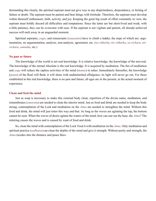<span id="page-22-0"></span>derstanding this clearly, the spiritual aspirant must not give way to any dispiritedness, despondency, or feeling of failure or doubt. The aspirant must be patient and bear things with fortitude. Therefore, the aspirant must develop within themself enthusiasm, faith, activity, and joy. Keeping the great big result of effort constantly in view, the aspirant must boldly discard all difficulties and temptations. Since the latter are but short-lived and weak, with a little patience, they can be overcome with ease. If the aspirant is not vigilant and patient, all already-achieved success will melt away in an unguarded moment.

Spiritual aspirants, *yogis*, and renunciants (*[sanyasins](#page-58-9)*) have to climb a ladder, the steps of which are: argumentation, no argumentation, analysis, non-analysis, agreement, etc. (*[sa-vitharka](#page-59-11)*, *[nir-vitharka](#page-56-12)*, *[sa-vichara](#page-59-12)*, *[nir](#page-56-13)[vichara](#page-56-13)*, *[samatha](#page-58-10)*, etc.)

#### **No past or future**

The knowledge of the world is not real knowledge. It is relative knowledge, the knowledge of the non-real. The knowledge of the eternal Absolute is the real knowledge. It is acquired by meditation. The fire of meditation and *yoga* will reduce the sapless activities of the mind (*[manas](#page-56-4)*) to ashes. Immediately thereafter, the knowledge (*[jnana](#page-54-7)*) of the Real will flash; it will shine with undiminished effulgence; its light will never go out. For those established in this real knowledge, there is no past and future; all ages are in the present, in the actual moment of experience.

#### **Clean and feed the mind**

Just as soap is necessary to make this external body clean, repetition of the divine name, meditation, and remembrance (*[smarana](#page-59-13)*) are needed to clean the interior mind. Just as food and drink are needed to keep the body strong, contemplation of the Lord and meditation on the *[Atma](#page-51-3)* are needed to strengthen the mind. Without this food and drink, the mind will just totter this way and that. As long as the waves are agitating the top, the bottom cannot be seen. When the waves of desire agitate the waters of the mind, how can one see the base, the *[Atma](#page-51-3)*? The tottering causes the waves and is caused by want of food and drink.

So, clean the mind with contemplation of the Lord. Feed it with meditation on the *[Atma](#page-51-3)*. Only meditation and spiritual practice (*[sadhana](#page-58-2)*) can clean the depths of the mind and give it strength. Without purity and strength, the *[Atma](#page-51-3)* recedes into the distance and peace flees.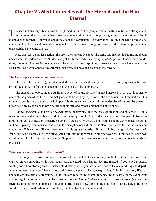## <span id="page-23-0"></span>**Chapter VI. Meditation Reveals the Eternal and the Non-Eternal**

The seen is transitory; this is seen through meditation. When people wander helter-skelter in a strange land, **L** not knowing the road, and when someone comes to direct them along the right path, it is not right to laugh at and dishonour them —it brings about only ruin and confusion! But today, it has become the habit of people to curdle the love (*[prema](#page-57-0)*), these embodiments of love, into poison through ignorance of the role of helpfulness that these guides have come to play.

Note this! Love and destruction arise from the same native spot. The same sea that yielded gems, the moon, nectar, and the goddess of wealth also brought forth the world-destroying *[halahala](#page-54-12)* poison. Under these conditions, one must, like Sri [Narayana](#page-56-14), accept the good and the auspicious; otherwise, one cannot have nectar and [Lakshmi.](#page-55-5) The heroic and the adventurous, like [Siva](#page-59-8), can have the poison as their need.

#### **The Lord's grace is needed to cross the sea**

This sea of life (*[samsara](#page-58-11)*), turbulent with the waves of joy and misery, can be crossed only by those who have an unflinching desire for the essence of bliss; the rest will be submerged.

The capacity to overcome the qualities (*[gunas](#page-54-13)*) of nature (*[prakriti](#page-57-2)*) is not inherent in everyone; it comes to one with the grace of the Lord. And that grace is to be won by repetition of the divine name and meditation. This must first be clearly understood: it is impossible for everyone to control the tendencies of nature; the power is possessed only by those who have nature in their grip and whose commands nature obeys.

Nature (*[prakriti](#page-57-2)*) is the basis of everything in the universe. It is the basis of creation and existence. All this is nature: men and women, beasts and birds, trees and plants. In fact, all that can be seen is inseparable from nature. In this endless creation, the active element is the Lord (*[Purusha](#page-57-9)*). This truth has to be experienced, so that it will not slip away from consciousness, and the discipline needed for this is also repetition of the divine name and meditation. This nature is like an ocean; even if it is agitated a little, millions of living beings will be destroyed. When the sea becomes slightly ruffled, ships turn into hollow reeds. You can never cross this sea by your own effort, alone. The Lord's grace is essential. So pray for that raft, and when you secure it, you can reach the shore in a trice.

#### **Why worry over short-lived attachments?**

Everything in this world is ephemeral, transitory; it is here today but may not be here tomorrow. So, if you want to crave something with a full heart, seek the Lord, who has no decline. Instead, if you crave progeny, wealth, and all comforts, you will suffer untold misery when you are called upon to leave everything and depart. At that moment, you would lament, "oh, did I love so deep that I may weep so loud?" In this transitory life, joy and pain are also perforce transitory. So, it is indeed humiliating to get immersed in the search for the evanescent and to forget the Supreme and the Everlasting. Ignoring God (*[Madhava](#page-55-6)*), who is free from illusion (*[maya](#page-56-8)*), and spending time in things immersed in illusion is fruitless; sorrow alone is the final gain. Nothing here is fit to be worshipped as eternal. Whomever you love, that love has to come to an end.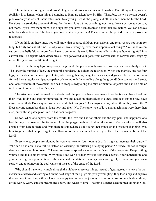<span id="page-24-0"></span>The self-same Lord gives and takes! He gives and takes as and when He wishes. Everything is His, so how foolish it is to lament when things belonging to Him are taken back by Him! Therefore, the wise person doesn't pine over anyone or feel undue attachment to anything. Let all the pining and all the attachment be for the Lord; He alone is eternal, the source of all joy. For the rest, love a thing as a thing, not more. Love a person as a person, not more. If you love them more, it is a sign that you have been deceived about their real nature. You can behave only for a short time as if the house you have rented is your own! For as soon as the period is over, it passes on to another.

If you think on these lines, you will know that spouse, children, possessions, and relatives are not yours for long, but only for a short time. So why waste away, worrying over these impermanent things? A millionaire can eat only one bellyful, not more. You have to come to this world like the traveller taking refuge at nightfall in a caravanserai; he departs when dawn breaks! You go toward your goal, from caravanserai to caravanserai, stage by stage. It is good to take life in this light.

Animals with many legs creep along the ground. People have only two legs, so they can move freely about. The larger the number of legs, the greater the bondage, the tighter the restriction. When one marries, one has four legs, one has become a quadruped. Later, when one gets sons, daughters, in-laws, and grandchildren, one is transformed into a regular centipede, capable of moving only by crawling along the ground! One cannot stand erect; one loses freedom of movement; one has to creep slowly along the mire of material objects; one has no time or inclination to secure the Lord's grace.

The attachments of the world are short-lived. People have been born many times before and have lived out their lives, loving and getting immersed in love and attaching themselves to others. But does anyone now have a trace of all that? Does anyone know where all that has gone? Does anyone worry about those they loved then? Does anyone remember them at least now and then? No. The same type of love and attachment were there then also, but with the passage of time, it has been forgotten.

So too, when one departs from this world, the love one had for others and the joy, pain, and happiness one had through that love will be forgotten. Like the playgrounds of children, the senses of action of man will also change, from here to there and from there to somewhere else! Fixing their minds on the insecure changing love, how tragic it is that people forget the cultivation of the disciplines that will give them the permanent bliss of the Lord!

Everywhere, people are plunged in worry, all twenty-four hours a day. Is it right to increase their burden? Who can be so cruel as to torture instead of lessening the suffering of a dying person? Already, the sea is rough; dare we blow a typhoon over it? Therefore learn to spread a smile on the faces of the desperate. Keep smiling yourself and make others smile. Why make a sad world sadder by your desperate counsel, your lamentation, and your suffering? Adopt repetition of the name and meditation to assuage your own grief, to overcome your own sorrow, and to plunge in the cool waves of the sea of the grace of the Lord.

Why should travellers wrangle through the night over useless things, instead of getting ready to leave the caravanserai at dawn and starting out on the next stage of their pilgrimage? By wrangling, they lose sleep and deprive themselves of rest; they will not have the energy to continue the journey. So do not worry too much about things of the world. Worry ends in meaningless hurry and waste of time. That time is better used in meditating on God.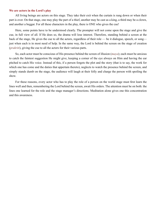#### <span id="page-25-0"></span>**We are actors in the Lord's play**

All living beings are actors on this stage. They take their exit when the curtain is rung down or when their part is over. On that stage, one may play the part of a thief, another may be cast as a king, a third may be a clown, and another a beggar. For all these characters in the play, there is ONE who gives the cue!

Here, some points have to be understood clearly. The prompter will not come upon the stage and give the cue, in full view of all. If He does so, the drama will lose interest. Therefore, standing behind a screen at the back of the stage, He gives the cue to all the actors, regardless of their role — be it dialogue, speech, or song just when each is in most need of help. In the same way, the Lord is behind the screen on the stage of creation (*[prakriti](#page-57-2)*), giving the cue to all the actors for their various parts.

So, each actor must be conscious of His presence behind the screen of illusion (*[maya](#page-56-8)*); each must be anxious to catch the faintest suggestion He might give, keeping a corner of the eye always on Him and having the ear pitched to catch His voice. Instead of this, if a person forgets the plot and the story (that is to say, the work for which one has come and the duties that appertain thereto), neglects to watch the presence behind the screen, and simply stands dumb on the stage, the audience will laugh at their folly and charge the person with spoiling the show.

For these reasons, every actor who has to play the role of a person on the world stage must first learn the lines well and then, remembering the Lord behind the screen, await His orders. The attention must be on both: the lines one learned for the role and the stage manager's directions. Meditation alone gives one this concentration and this awareness.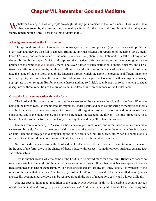## **Chapter VII. Remember God and Meditate**

<span id="page-26-0"></span> $\sum$  hatever the tangle in which people are caught, if they get immersed in the Lord's name, it will make them free. Moreover, by this means, they can realise without fail the name and form through which they constantly remember the Lord. There is no iota of doubt in this.

#### **All religions remember the Lord's name**

The spiritual disciplines of *yoga*, breath control (*[pranayama](#page-57-7)*), and penance (*tapas*) are beset with pitfalls at every step, and they are also full of dangers. But in the spiritual practices of repetition of the name (*[japa](#page-54-3)*), meditation (*[dhyana](#page-53-1)*), and remembrance of the name (*[namasmarana](#page-56-15)*) there is no likelihood of a fall or of any other danger. In the former type of spiritual disciplines, the practices differ according to the caste or religion. In the practice of the name (*[nama-sadhana](#page-56-16)*), there is not even a trace of such distinction. Hindus, Muslims, and Christians may differ on many points, but they are all one in the glorification of the name of the Godhead. All of them take the name of the one Lord, though the language through which the name is expressed is different. Each one recites, repeats, and remembers the name as formed on his own tongue. Each one turns with his fingers the rosary appropriate to their religion. But for everyone there is nothing so fruitful, so universal, or so holy among spiritual disciplines as these: repetition of the divine name, meditation, and remembrance of the Lord's name.

#### **Crave the Lord's name rather than the form**

The Lord and His name are both one, but the sweetness of the name is seldom found in the form. When the name of the flower, rose, is remembered, its fragrance, tender petals, and deep colour spring to memory; its thorns and the trouble one has undergone to get the flower are all forgotten. Instead, if its origin and previous story are considered, and if the plant, leaves, and branches are taken into account, the flower —the most important, most beautiful, and most attractive part— is likely to be forgotten and only "the plant" is discussed.

See this from another angle. As soon as the name *mango* is mentioned, one is reminded of an incomparable sweetness. Instead, if an actual mango is held in the hand, the doubt first arises in the mind whether it is sweet or sour; then one is engaged in distinguishing the skin, fibre, juice, nut, rind, seed, etc. When the name alone is repeated, these things do not come to mind. Only the sweetness is brought to memory.

Such is the difference between the Lord and the Lord's name! The pure essence of sweetness is in the name. In the case of the form, there is the chance of dread mixed with respect —sometimes, even attributes causing fear show themselves.

Here is another reason why the name of the Lord is to be craved more than the form. Riches are needed to secure any article in the world. With riches, articles are acquired, so it follows that the riches are superior to the articles obtained by means of them, right? With riches, one can get any article, any time. So too, it is by means of the riches of the name that the article, "the form (*[rupa](#page-58-12)*) of the Lord" is to be earned. If the riches called name (*[nama](#page-56-17)*) are steadily accumulated, the Lord can be realised through the path of meditation, easily and without difficulty.

Another special thing about repetition of the name (*[nama-smarana](#page-56-15)*) is this: It is possible to acquire various occult powers (*[siddhis](#page-59-14)*) through *yoga* and penance (*tapas*). And there is every likelihood of the Lord being for-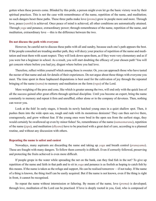gotten when these powers come. Blinded by this pride, a person might even let go the basic victory won by their spiritual practices. This is not the case with remembrance of the name, repetition of the name, and meditation; no such dangers beset these paths. These three paths make love (*[prema](#page-57-0)*) grow in people more and more. Through love, peace (*[santhi](#page-58-1)*) is achieved. Once peace of mind is achieved, all other conditions are automatically attained. Through *yoga* and penance, extraordinary power; through remembrance of the name, repetition of the name, and meditation, extraordinary love —this is the difference between the two.

#### **Do not discuss the path with everyone**

However, be careful not to discuss these paths with all and sundry, because each one's path appears the best. If the people consulted are treading another path, they will decry your practice of repetition of the name and meditation and treat them with scant respect. They will look down upon them, as if they were very elementary and as if you were but a beginner in school. As a result, you will start doubting the efficacy of your chosen path! You will get concern where before you had joy, disgust where before you had love.

Therefore, reflect within yourself which among these is sweeter. Or, you can approach those who have tasted the nectar of that name and ask for details of their experiences. Do not argue about these things with everyone you meet. The time spent in these haphazard disputations is best used for the cultivation of joy through the repeated bringing of the name (*[nama](#page-56-17)*) to memory and meditation on the form (*[rupa](#page-58-12)*) of the Lord.

Mere weighing of the pros and cons, like which is greater among the two, will end only with the quick loss of all the success gained after great efforts through spiritual discipline. Until you become an expert, bring the name constantly to memory and repeat it firm and unruffled, either alone or in the company of devotees. Then, nothing can waver you.

Look at the fish! In early stages, it breeds its newly hatched young ones in a quiet shallow spot. Then, it pushes them into the wide open sea, rough and rude with its monstrous denizens! They can then survive there, courageously, and grow without fear. If the young ones were bred in the open sea from the earliest stage, they would certainly be swallowed up even by minor fishes! So, remembrance of the name (*[namasmarana](#page-56-15)*), repetition of the name (*[japa](#page-54-3)*), and meditation (*[dhyana](#page-53-1)*) have to be practised with a great deal of care, according to a planned routine, and without any discussion with others.

#### **Repeating the name is safest and easiest**

Nowadays, many aspirants are discarding the name and taking up *yoga* and breath control (*[pranayama](#page-57-7)*). These are fraught with many dangers. To follow them correctly is difficult. Even if correctly followed, preserving and protecting the fruits achieved is even more difficult.

If people grope in the water while spreading the net on the bank, can they find fish in the net? To give up repetition of the name and faith in that path and to sit in *yoga* and penance is as foolish as hoping to catch fish by this means. If the name is taken as the refuge and support, He can be realised tomorrow —if not today. If the name of a thing is known, the thing itself can be easily acquired. But if the name is not known, even if the thing is right in front, it cannot be recognised.

So repeat the name without intermission or faltering. By means of the name, love (*[prema](#page-57-0)*) is developed; through love, meditation of the Lord can be practised. If love is deeply rooted in you, God, who is composed of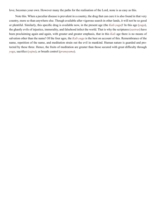<span id="page-28-0"></span>love, becomes your own. However many the paths for the realisation of the Lord, none is as easy as this.

Note this. When a peculiar disease is prevalent in a country, the drug that can cure it is also found in that very country, more so than anywhere else. Though available after vigorous search in other lands, it will not be so good or plentiful. Similarly, this specific drug is available now, in the present age (the *[Kali-yuga](#page-55-7)*)! In this age (*yuga*), the ghastly evils of injustice, immorality, and falsehood infect the world. That is why the scriptures (*[sastras](#page-59-9)*) have been proclaiming again and again, with greater and greater emphasis, that in this *[Kali](#page-55-7)* age there is no means of salvation other than the name! Of the four ages, the *[Kali-yuga](#page-55-7)* is the best on account of this. Remembrance of the name, repetition of the name, and meditation strain out the evil in mankind. Human nature is guarded and protected by these three. Hence, the fruits of meditation are greater than those secured with great difficulty through *yoga*, sacrifice (*yajna*), or breath control (*[pranayama](#page-57-7)*).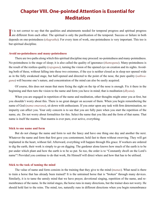## <span id="page-29-0"></span>**Chapter VIII. One-pointed Attention is Essential for Meditation**

It is not correct to say that the qualities and attainments needed for temporal progress and spiritual progress are different from each other. The spiritual is only the purification of the temporal. Success or failure in b **L** are different from each other. The spiritual is only the purification of the temporal. Success or failure in both depends on one-pointedness (*[ekagratha](#page-53-3)*). For every item of work, one-pointedness is very important. This too is but spiritual discipline.

#### **Avoid no-pointedness and many-pointedness**

There are two paths along which this spiritual discipline may proceed: no-pointedness and many-pointedness. No-pointedness is the stage of sleep; it is also called the quality of ignorance (*thamoguna*). Many-pointedness is the result of the restless quality (*[rajoguna](#page-58-13)*), turning the vision of the opened eye on creation and its sights. Avoiding both of these, without falling into these two extremes, if the eye is neither closed as in sleep nor opened wide as in the fully awakened stage, but half-opened and directed to the point of the nose, the pure quality (*[sathwa](#page-59-15)[guna](#page-59-15)*) will become one's nature, and concentration of the mind can also be easily acquired.

Of course, this does not mean that mere fixing the sight on the tip of the nose is enough. Fix it there in the beginning and then turn the vision to the name and form you have in mind; that is meditation (*[dhyana](#page-53-1)*).

When you are engaged in repetition of the name and meditation, other thoughts might enter you at first, but you shouldn't worry about this. There is no great danger on account of them. When you begin remembering the name of God (*[nama-smarana](#page-56-15)*), sit down with enthusiasm. If you enter upon any task with firm determination, no impurity can affect you. Your only concern is to see that you are fully pure when you start the repetition of the name, etc. Do not worry about formalities for this. Select the name that you like and the form of that name. That name is itself the mantra. That mantra is ever pure, ever active, everything.

#### **Stick to one name and form**

But do not change the name and form to suit the fancy and have one thing one day and another the next. Whatever the name and form that first gave you contentment, hold fast to them without swerving. They will get implanted in the heart, without fail. Afterward, everything will happen through His grace. If workers are ordered to dig the earth, their work is simply to go on digging. The gardener alone knows how much of the earth is to be put under which plant and how the earth is to be so put. So too, the order is to "Constantly dwell on the Lord's name"! Provided you continue to do that work, He Himself will direct where and how that has to be utilised.

#### **Stick to the task of taming the mind**

The value of name and form consists in the training that they give to the mind (*[manas](#page-56-4)*). What need is there to train a horse that has already been trained? It is the untrained horse that is "broken" through many devices. Similarly, it is to tame the unruly mind that we have prayer, devotional singing, repetition of the name, and remembrance of the name. In the initial stages, the horse runs in many directions, but the trainer does not worry. He should hold fast to the reins. The mind, too, naturally runs in different directions when you begin remembrance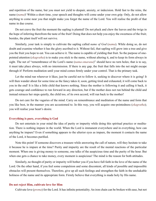<span id="page-30-0"></span>and repetition of the name, but you must not yield to despair, anxiety, or indecision. Hold fast to the reins, the name (*[nama](#page-56-17)*)! Within a short time, your speech and thoughts will come under your own grip. Only, do not allow anything to come near you that might make you forget the name of the Lord. You will realise the profit of that name in due course.

Do not crave the fruit the moment the sapling is planted! Do not pluck and chew the leaves and the twigs in the hope of inferring therefrom the taste of the fruit! Doing that does not help you enjoy the sweetness of the fruit; besides, the plant itself will not survive.

Similarly, your task is simply to cultivate the sapling called *name of God* (*[nama](#page-56-17)*). While doing so, do not doubt and examine whether it has the glory ascribed to it. Without fail, that sapling will grow into a tree and give you the fruit you hope to eat. You can achieve it. The name is capable of yielding that fruit. So the purpose of onepointed attention (*[ekagratha](#page-53-3)*) is to make you stick to the name, without altering it, and to keep its form always in sight. The net of "remembrance of the Lord's name (*[nama-smarana](#page-56-15)*)" should have no torn holes; that is to say, it must take place always, with no intermission. If there is any gap, the fruit that falls into the net might escape through it! Perform meditation until your mind comes firmly under your control. That is the primary task.

Let the mind run wherever it likes; just be careful not to follow it, seeking to discover where it is going! It will then wander about for some time as the fancy takes it; soon, getting tired and exhausted, it will come back to you in the end! It is like a little child that knows nothing. Since the mother is following it and calling it back, it gets courage and confidence to run forward in any direction, but if the mother does not run behind the child and instead retraces her steps quietly, the child too, of its own accord, will run back to the mother!

Do not care for the vagaries of the mind. Carry on remembrance and meditation of the name and form that you like best, in the manner you are accustomed to. In this way, you will acquire one-pointedness (*[ekagratha](#page-53-3)*); you will realise your heart's desire.

#### **Everything is pure, everything is God**

Do not entertain in your mind the idea of purity or impurity while doing this spiritual practice or meditation. There is nothing impure in the world. When the Lord is immanent everywhere and in everything, how can anything be impure? Even if something appears to the ulterior eyes as impure, the moment it contacts the name of the Lord, it becomes purified.

Note this point! If someone discovers a treasure while answering the call of nature, will they hesitate to take it because he is impure at the time? Purity and impurity are the result of the mental reactions of the particular moment. When one is giving money to someone, one talks of the auspicious time and the purity of the hour. But when one gets a chance to take money, every moment is auspicious! The mind is the reason for both attitudes.

Similarly, no thought of purity or impurity will bother you if you have full faith in the love of the name of the Lord. On the other hand, if you feel some compulsion and some discontent, all kinds of possible and impossible obstacles will present themselves. Therefore, give up all such feelings and strengthen the faith in the unshakable holiness of the name and its appropriate form. Firmly believe that everything is made holy by His name.

#### **Do not reject Him, cultivate love for Him**

Cultivate love (*[prema](#page-57-0)*) for the Lord. It has infinite potentiality. An iron chain can be broken with ease, but not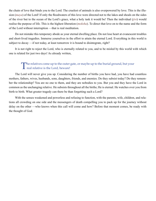the chain of love that binds you to the Lord. The cruelest of animals is also overpowered by love. This is the illusion (*[maya](#page-56-8)*) of the Lord! If only the floodwaters of this love were directed not to the lakes and shoals on the sides of the river but to the ocean of the Lord's grace, what a holy task it would be! Then the individual (*[jivi](#page-54-5)*) would realise the purpose of life. This is the highest liberation (*[moksha](#page-56-0)*). To direct that love on to the name and the form of the Lord without interruption —that is real meditation.

Do not mistake this temporary abode as your eternal dwelling place. Do not lose heart at evanescent troubles and short-lived tragedies. Immerse yourselves in the effort to attain the eternal Lord. Everything in this world is subject to decay —if not today, at least tomorrow it is bound to disintegrate, right?

It is not right to reject the Lord, who is eternally related to you, and to be misled by this world with which one is related for just two days! As already written,

## The relatives come up to the outer gate, or maybe up to the burial ground, but your real relative is the Lord, beware!

The Lord will never give you up. Considering the number of births you have had, you have had countless mothers, fathers, wives, husbands, sons, daughters, friends, and enemies. Do they subsist today? Do they remember the relationship? You are no one to them, and they are nobodies to you. But you and they have the Lord in common as the unchanging relative. He subsists throughout all the births; He is eternal. He watches over you from birth to birth. What greater tragedy can there be than forgetting such a Lord?

With the senses weakened and powerless and refusing to function, with the parents, wife, children, and relations all crowding on one side and the messengers of death compelling you to pack up for the journey without delay on the other —who knows when this call will come and how? Before that moment comes, be ready with the thought of God.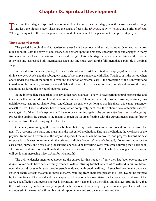## **Chapter IX. Spiritual Development**

<span id="page-32-0"></span>There are three stages of spiritual development: first, the hazy uncertain stage; then, the active stage of striving;<br>and last, the highest stage. These are the stages of passivity (thamas), activity ([rajas](#page-57-10)), and purity (s When growing out of the first stage into the second, it is unnatural for a person not to improve step by step.

#### **Three stages of growth**

The period from childhood to adolescence need not be seriously taken into account. One need not worry much about it. With the dawn of adolescence, one enters upon the first hazy uncertain stage and engages in many fruitless activities. Later, one attains ripeness and strength. This is the stage between the uncertain and the certain. It is when one has reached this intermediate stage that one must yearn for the fulfilment that is possible in the final stage.

In the rules for penance (*tapas*), this law is also observed. At first, ritual worship (*[puja](#page-57-6)*) is associated with divine energy (*[sakthi](#page-58-3)*), and the subsequent stage of worship is connected with [Siva.](#page-59-8) That is to say, the period when one is under the care of the mother is over and the period of paternal care —the protection of the Renovator and Guardian of the universe, [Siva—](#page-59-8) is reached. When the stage of paternal care is come, one should not soil the body and mind, as during the period of maternal care.

In the intermediate stage (that is to say at that particular age), one will have certain natural propensities and tendencies that are not desirable and have to be eschewed. These are: conceit, mischievousness, obstinacy, inquisitiveness, lust, greed, shame, fear, vengefulness, disgust, etc. As long as one has these, one cannot surrender oneself to [Siva.](#page-59-8) These tendencies have to be uprooted completely, or at least there should be a systematic endeavour to get rid of them. Such aspirants will have to be swimming against the current (*Vyathireka pravaaha gathi*). Proceeding against the current is the means to reach the Source; floating with the current means getting farther and farther from It and losing sight of the Goal.

Of course, swimming up the river is a bit hard, but every stroke takes you nearer to and not farther from the goal. To overcome the strain, one must have the raft called meditation. Through meditation, the weakness of the physical frame can be overcome, the wayward speed of the mind can be controlled, and progress toward the seat of grace is made easy; one can attain the primordial divine Force (*[adi-murthi](#page-51-9)*). Instead, if one cares more for the ease of the journey and floats along the current, one would be travelling away from grace, turning their back on it. The primordial divine Force will gradually become distant and disappear. People who float along with the current will get lost in increasing misery. And for what profit?

The evil tendencies mentioned above are the causes for this tragedy. If only they had been overcome, the divine Source could have been certainly reached. Without striving for that, all activities will end in failure. Moreover, the world loves only good people, people endowed with good qualities; it keeps bad people at a distance. Exterior charm attracts the animal; internal charm, resulting from character, pleases the Lord. Do not be tempted by the low tastes of the world and the cheap regard that people bestow. Strive for the holy grace and love of the Lord. The affection that people shower is inconstant, for it depends on their likes and dislikes. But the love that the Lord bears to you depends on your good qualities alone. It can also give you permanent joy. Those who are enamoured of the external will tumble into disappointment and sorrow every now and then.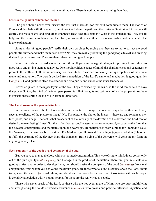<span id="page-33-0"></span>Beauty consists in character, not in anything else. There is nothing more charming than that.

#### **Discuss the good in others, not the bad**

The good should never even discuss the evil that others do, for that will contaminate them. The stories of [Druva](#page-53-9) and [Prahlada](#page-57-11) will, if listened to, grant merit and show the path, and the stories of [Savithri](#page-59-17) and [Anasuya](#page-51-10) will destroy the roots of evil and strengthen character. How does this happen? What is the explanation? They are all holy, and their careers are blameless; therefore, to discuss them and their lives is worthwhile and beneficial. That is the explanation.

Some critics of "good people" justify their own carpings by saying that they are trying to correct the good people still further and make them even better! No, they are really provoking the good people to evil and drawing that evil upon themselves. They are themselves becoming evil people.

Never think about the badness or evil of others. If you can manage it, always keep trying to turn them to good ways and giving them good advice. One should cultivate peace of mind, the charitableness and eagerness to promote the welfare of all that is necessary for the attitude. These can come only through repetition of the divine name and meditation. The wealth derived from repetition of the Lord's name and meditation is good qualities (*[sadguna](#page-58-14)*). Good qualities clean the exterior and also purify and ennoble the inner tendencies.

Waves originate in the upper layers of the sea. They are caused by the wind, so the wind can be said to have that power. So too, the mind of the intelligent person is full of thoughts and opinions. When the proper atmosphere is present, these spring up and roll in from all directions.

#### **The Lord assumes the yearned-for form**

In the same manner, the Lord is manifest in the picture or image that one worships, but is this due to any special excellence of the picture or image? No. The picture, the photo, the image —these are and remain as picture, photo, and image. The fact is that on account of the intensity of the devotion of the devotee, the Lord cannot desist from manifesting Himself for them. For that reason, He assumes —in stone, wood, or paper —the form that the devotee contemplates and meditates upon and worships. He materialised from a pillar for [Prahlada'](#page-57-11)s sake! For [Vamana,](#page-60-0) He became visible in a stone! For [Markandeya](#page-56-18), He issued from a [linga](#page-55-8) (egg-shaped stone)! In order to fulfil the yearning of the devotee, [Hari](#page-54-14), the Immanent Basic Being of the Universe, will come in any form, in anything, at any place.

#### **Seek company of the good; avoid company of the bad**

But you have to pray to the Lord with one-pointed concentration. This type of single-mindedness comes only out of the pure quality (*[sathwa-guna](#page-59-15)*), and that again is the product of meditation. Therefore, you must cultivate good qualities, and in order to develop these, you should desire the company of the good (*[sath-sang](#page-59-18)*). Your real companions, from whom you derive the maximum good, are those who talk and discourse about the Lord, about truth, about the service (*[seva](#page-59-19)*) of others, and about love that considers all as equal. Association with such people is certainly association with virtuous people, for these are the real virtuous people.

Those who never speak of the Lord, or those who are not even aware of Him; who are busy multiplying and strengthening the bonds of worldly existence (*[samsara](#page-58-11)*); who preach and practise falsehood, injustice, and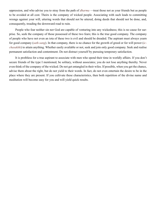oppression, and who advise you to stray from the path of *[dharma](#page-53-0)* —treat those not as your friends but as people to be avoided at all cost. Theirs is the company of wicked people. Associating with such leads to committing wrongs against your will, uttering words that should not be uttered, doing deeds that should not be done, and, consequently, treading the downward road to ruin.

People who fear neither sin nor God are capable of venturing into any wickedness; this is no cause for surprise. So, seek the company of those possessed of these two fears; this is the true good company. The company of people who have not even an iota of these two is evil and should be dreaded. The aspirant must always yearn for good company (*[sath-sang](#page-59-18)*). In that company, there is no chance for the growth of greed or for will power (*[ic](#page-54-15)[chasakthi](#page-54-15)*) to attain anything. Whether easily available or not, seek and join only good company. Seek and realise permanent satisfaction and contentment. Do not distract yourself by pursuing temporary satisfaction.

It is profitless for a true aspirant to associate with men who spend their time in worldly affairs. If you don't secure friends of the type I mentioned, be solitary, without associates; you do not lose anything thereby. Never even think of the company of the wicked. Do not get entangled in their wiles. If possible, when you get the chance, advise them about the right, but do not yield to their words. In fact, do not even entertain the desire to be in the place where they are present. If you cultivate these characteristics, then both repetition of the divine name and meditation will become easy for you and will yield quick results.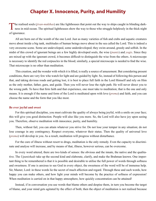## **Chapter X. Innocence, Purity, and Humility**

<span id="page-35-0"></span>The realised souls ([jivan-mukthas](#page-54-6)) are like lighthouses that point out the way to ships caught in blinding dark-<br>ness in mid-ocean. The spiritual lighthouses show the way to those who struggle helplessly in the thick night of ignorance.

All are born out of the womb of the one Lord. Just as many varieties of fish and crabs and aquatic creatures move about inside a big tank, multitudes of human beings move about in the sea called the Lord. This is indeed a very awesome scene. Some are undeveloped, some underdeveloped; they swim around, greedy and selfish. In the midst of this crowd of ignorant beings are a few highly developed souls, the wise (*[jnanis](#page-55-2)*) and *yogis*. Since they are mixed up with the ignorant crowd, it becomes difficult to distinguish the wise from the others. A microscope is necessary to identify the red corpuscles in the blood; similarly, a special microscope is needed to find the wise. That microscope is no other than meditation.

This creation, and the wonder with which it is filled, is really a source of amazement. But considering present conditions, there are very few who watch for light and are guided by light. So, instead of following this person and that, and taking devious roads and getting lost, it is best to place full faith in the Lord Himself and rely on Him as the only mother, father, guru, and guide. Then you will never lose the right path. He will never direct you to the wrong path. To have that firm faith and that experience, one must take to meditation; that is the one and only means. It is enough if the name and form of the Lord is meditated upon with love (*[prema](#page-57-0)*) and faith, and you can choose the name and the form that you like most.

#### **Be ever joyful and sweet**

For this spiritual discipline, you must cultivate the quality of always being joyful, with a smile on your face; this will give you good distinction. People will also like you more. So, the Lord will also have joy upon seeing you. Therefore, observe meditation with innocence, purity, and humility.

Then, without fail, you can attain whatever you strive for. Do not lose your temper in any situation; do not lose courage in any contingency. Respect everyone, whatever their status. Then the quality of universal love (*[prema](#page-57-0)*) will develop in you. As a result, meditation will progress without disturbance.

For the cure of illness without resort to drugs, meditation is the only remedy. Even the capacity to discriminate and analyse will increase, and by means of that, illness, however serious, can be overcome.

In every word uttered, there are two kinds of senses: the obvious and the innate, the native and the qualitative. The *[Upanishads](#page-60-1)* take up the second kind and elaborate, clarify, and make the [Brahman](#page-52-4) known. One important thing to be remembered is that it is possible and desirable to utilise the full power of words through softness and sweetness. If one is anxious to see God in every object, the sweetness of the word will be of immense help. Sir, Master, Lord: in these words lie the secret of much affection and regard. Through these and such words, how happy you can make others, and how light your minds will become by the practice of softness of expression! When meditation is carried on in that happy atmosphere, how quickly concentration can be attained!

Instead, if in conversation you use words that blame others and despise them, in turn you become the target of blame, and your mind gets agitated by the effect of both; then the object of meditation is not realised because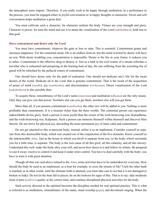<span id="page-36-0"></span>the atmosphere turns impure. Therefore, if you really wish to be happy through meditation, as a preliminary to the process, you must be engaged either in joyful conversation or in happy thoughts or memories. Sweet and soft conversation helps meditation a great deal.

You must cultivate such a character, for character outlasts the body. Virtues are your strength and glory. Character is power. So train the mind and use it to attain the visualisation of the Lord (*[sakshatkara](#page-58-15)*); hold fast to that goal.

#### **Have contentment and desire only the Lord**

You must have contentment, whatever the gain or loss or state. This is essential. Contentment grants and increases happiness. For the contented mind, life is an endless festival, but the mind worried by desire will have no rest. With desire troubling you, concentration is impossible. Desire is the fire in your frame; it reduces you to ashes. Contentment is the effective drug to destroy it. Just as a bath in the cool waters of a stream refreshes a traveller who is exhausted and perspiring in the burning heat of day, the one suffering from the scorching fire of greed will be refreshed by the pellucid waters of contentment.

One should have desire only for the path of realisation. One should not dedicate one's life for the mean desires of the world. Dedicate all to the Lord; that is genuine contentment. That is the result of the acquisition of peace of mind (*[santhi](#page-58-1)*), joy (*[santhosha](#page-58-16)*), and discrimination (*vicharana*). Direct visualization of the Lord (*[sakshatkara](#page-58-15)*) is also possible then.

To acquire these, remembrance of the Lord's name (*[smarana](#page-59-13)*) and meditation (*[dhyana](#page-53-1)*) are the only means. Only they can give you that power. Nowhere else can you get them, nowhere else will you get them.

More than all, if you possess contentment (*[santhosha](#page-58-16)*), the other two will be added to you. Nothing is more profitable than contentment. It is a treasure richer than the three worlds. The contented person can experience indescribable divine glory. Such a person is more joyful than the owner of the wish-bestowing cow, [Kamadhenu](#page-55-9), and the wish-bestowing tree, [Kalpataru](#page-55-10). Such a person can immerse themself within themself and discover bliss therein. Do not strive for physical joy, discarding the more permanent joy of inner calm and contentment.

Do not get attached to this evanescent body; instead, utilise it as an implement. Consider yourself as separate from this destructible body, which was created out of the conjunction of the five elements. Know yourself as the indestructible *[Atma](#page-51-3)*. Just as the house in which you dwell is separate from you, so the body, which surrounds you for a little time, is separate. The body is the root cause of all this grief, all this calamity, and all this slavery. Understand this well: make the body obey your will, and never bow down to it and follow its whims. Be prepared to cast it away; resolve to control it and keep it under strict control. You have to deal carefully with the body; you have to train it with great attention.

Though all that was said above related to the *[Atma](#page-51-3)*, some activities have to be undertaken by everyone. How should the body be used as an implement, as a boat for example, to cross the stream of life? Until the other bank is reached, or in other words, until the ultimate truth is attained, you must take care to see that it is not damaged or broken or leaky. Do not let the boat fall to pieces; be on the lookout for signs of this. That is to say: take moderate food of pure (*[sathwic](#page-59-5)*) quality at the correct time, and continue disciplined physical activities for the body.

Such activity directed to the spiritual becomes the discipline needed for real spiritual practice. This is what is referred to as meditation, remembrance of the name, ritual worship (*[puja](#page-57-6)*), and devotional singing. When the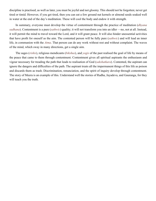discipline is practised, as well as later, you must be joyful and not gloomy. This should not be forgotten; never get tired or timid. However, if you get tired, then you can eat a few ground nut kernels or almond seeds soaked well in water at the end of the day's meditation. These will cool the body and endow it with strength.

In summary, everyone must develop the virtue of contentment through the practice of meditation (*[dhyana](#page-53-1) [sadhana](#page-58-2)*). Contentment is a pure (*[sathwic](#page-59-5)*) quality; it will not transform you into an idler —no, not at all. Instead, it will permit the mind to travel toward the Lord, and it will grant peace. It will also hinder unessential activities that have profit for oneself as the aim. The contented person will be fully pure (*[sathwic](#page-59-5)*) and will lead an inner life, in communion with the *[Atma](#page-51-3)*. That person can do any work without rest and without complaint. The waves of the mind, which sway in many directions, get a single aim.

The sages (*[rishis](#page-58-6)*), religious mendicants (*[bikshus](#page-52-6)*), and *yogis* of the past realised the goal of life by means of the peace that came to them through contentment. Contentment gives all spiritual aspirants the enthusiasm and vigour necessary for treading the path that leads to realisation of God (*[sakshatkara](#page-58-15)*). Contented, the aspirant can ignore the dangers and difficulties of the path. The aspirant treats all the impermanent things of this life as poison and discards them as trash. Discrimination, renunciation, and the spirit of inquiry develop through contentment. The story of [Meera](#page-56-19) is an example of this. Understand well the stories of [Radha,](#page-57-12) [Jayadeva](#page-54-16), and [Gauranga,](#page-54-17) for they will teach you the truth.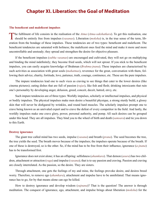## <span id="page-38-0"></span>**Chapter XI. Liberation: the Goal of Meditation**

#### **The beneficent and maleficent impulses**

The fulfilment of life consists in the realisation of the *[Atma](#page-51-3)* (*[Atma](#page-51-3)[-sakshatkara](#page-58-15)*). To get this realisation, one should be entirely free from impulses (*vasanas*). Liberation (*[moksha](#page-56-0)*) is, in the true sense of the term, liberation from the bondage of these impulses. These tendencies are of two types: beneficent and maleficent. The beneficent tendencies are saturated with holiness; the maleficent ones feed the mind and make it more and more uncontrollable and unsteady; they spread and strengthen the desire for objective pleasure.

If the beneficent impulses (*subha vasanas*) are encouraged and cultivated, they will not go on multiplying and binding the mind indefinitely; they become fried seeds, which will not sprout. If you stick to the beneficent impulses, you can easily acquire knowledge of [Brahman](#page-52-4) (*[Brahma-jnana](#page-52-7)*). These impulses are characterised by such activities as association with great souls (*[mahatmas](#page-56-6)*), reverence for the great, conversation with them, following their advice, charity, fortitude, love, patience, truth, courage, continence, etc. These are the pure impulses.

The impure tendencies lead one to such vices as craving to see things that cater to the lower desires (like cinema pictures); eating dishes that are full of passion (*[rajas](#page-57-10)*), like fish and flesh; drinking intoxicants that ruin one's personality by developing anger, delusion, greed, conceit, deceit, hatred, envy, etc.

Such impure tendencies are of three types: Worldly impulses, scholarly or intellectual impulses, and physical or bodily impulses. The physical impulses make men desire a beautiful physique, a strong sturdy build, a glossy skin that will never be disfigured by wrinkles, and round hard muscles. The scholarly impulses prompt one to crave being known as an unrivaled expert and to crave the defeat of every competitor in the field. And lastly, the worldly impulses make one crave glory, power, personal authority, and pomp. All such desires can be grouped under this head. They are all impulses. They bind you to the wheel of birth and death (*[samsara](#page-58-11)*) and tie you down to this Earth.

#### **Destroy ignorance**

The giant tree called mind has two seeds, impulse (*vasana*) and breath (*[prana](#page-57-3)*). The seed becomes the tree, the tree yields the seed. The breath moves because of the impulses; the impulses operate because of the breath. If one of these is destroyed, so is the other. So, if the mind has to be free from their influence, ignorance (*[a-jnana](#page-51-11)*) has to be transformed first.

Ignorance does not exist alone; it has an offspring: selfishness (*[ahamkara](#page-51-8)*). That demon (*[asura](#page-51-12)*) has two children, attachment or attraction (*[raga](#page-57-13)*) and impulse (*vasana*); that is to say passion and craving. Passion and craving are closely interrelated. As the passion, so the desire. They are sisters.

Through attachment, one gets the feelings of my and mine, the feelings provoke desire, and desires breed worry. Therefore, to remove ego (*[ahamkara](#page-51-8)*), attachment and impulse have to be annihilated. That means ignorance has to go, for by that means alone can ego be killed.

How to destroy ignorance and develop wisdom (*sujnana*)? That is the question! The answer is through meditation. The conquest of ignorance, ego, attachment, and impulse brings about liberation (*[moksha](#page-56-0)*) for the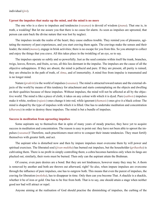#### <span id="page-39-0"></span>**Uproot the impulses that make up the mind, and the mind is no more**

The one who is a slave to impulses and tendencies (*vasanas*) is devoid of wisdom (*[jnana](#page-54-7)*). That one is, in truth, a weakling! But let me assure you that there is no cause for alarm. As soon as impulses are uprooted, that person can earn back the divine nature that was lost by neglect.

The impulses invade the realm of the heart; they cause endless trouble. They remind you of pleasures, agitating the memory of past experiences, and you start craving them again. The cravings make the senses and their leader, the mind (*[manas](#page-56-4)*), engage in brisk activities; there is no escape for you from this. So you attempt to collect and enjoy the things that you crave. All this takes place in the twinkling of an eye, so to say.

The impulses operate so subtly and so powerfully. Just as the seed contains within itself the trunk, branches, twigs, leaves, flowers, and fruits, so too, all this lies dormant in the impulse. The impulses are the cause of all the objective unhappiness. If they are absent, the mind is pellucid and pure. If they are present, all purity is ruined; they are obstacles in the path of truth, of *[Atma](#page-51-3)*, and of immortality. A mind free from impulse is transmuted and is no longer mind.

Nature (*[prakriti](#page-57-2)*) is the world of impulses (*vasanas*). The mind is attracted toward nature and the external objects of the world by means of this tendency for attachment and starts contemplating on the objects and dwelling on their qualities because of these impulses. Without impulses, the mind will not be affected at all by the objective world. The mind is like a piece of cloth; it takes on any colour with which it is dyed. Pure (*[sathwic](#page-59-5)*) impulses make it white, restless (*[rajasic](#page-57-5)*) ones change it into red, while ignorant (*thamasic*) ones give it a black colour. The mind is shaped by the type of impulses with which it is filled. One has to undertake meditation and concentration (*[dharana](#page-53-8)*) in order to destroy these impulses. The mind is but a bundle of impulses.

#### **Success in meditation from uprooting impulses**

Some aspirants say to themselves that in spite of many years of steady practice, they have yet to acquire success in meditation and concentration. The reason is easy to point out: they have not been able to uproot the impulses (*vasanas*)! Therefore, such practitioners must strive to conquer their innate tendencies. They must fortify themselves with greater faith, and act.

The aspirant who is disturbed now and then by impure impulses must overcome them by will power and spiritual exercises. The liberated soul (*[jivan-muktha](#page-54-6)*) has burned out impulses, but the householder (*[grihastha](#page-54-11)*) is cultivating them. There is no profit in simply controlling them; a cobra becomes harmless only when its fangs are plucked out; similarly, their roots must be burned. Then only can the aspirant attain the [Brahman.](#page-52-4)

Of course, even pure desires are a bond. But they are not hindrances, however many they may be. A thorn is removed by another and both are thrown out afterward, right? So also, when impure impulses are overcome through the influence of pure impulses, one has to outgrow both. This means that even the purest of impulses, the craving for liberation (*[moksha](#page-56-0)*), has to disappear in time. Only then can you become That. A shackle is a shackle, whether it be of iron or gold. One has to be free from both. That is to say, one should attain a stage when neither good nor bad will attract or repel.

Anyone aiming at the realisation of God should practise the diminishing of impulses, the curbing of the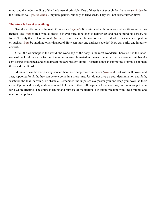mind, and the understanding of the fundamental principle. One of these is not enough for liberation (*[moksha](#page-56-0)*). In the liberated soul (*[jivanmuktha](#page-54-6)*), impulses persist, but only as fried seeds. They will not cause further births.

#### **The Atma is free of everything**

See, the subtle body is the seat of ignorance (*[a-jnani](#page-51-13)*). It is saturated with impulses and traditions and experiences. The *[Atma](#page-51-3)* is free from all these. It is ever pure. It belongs to neither sex and has no mind, no senses, no form. Not only that; It has no breath (*[prana](#page-57-3)*), even! It cannot be said to be alive or dead. How can contemplation on such an *[Atma](#page-51-3)* be anything other than pure? How can light and darkness coexist? How can purity and impurity coexist?

Of all the workshops in the world, the workshop of the body is the most wonderful, because it is the tabernacle of the Lord. In such a factory, the impulses are sublimated into vows, the impurities are weeded out, beneficent desires are shaped, and good imaginings are brought about. The main aim is the uprooting of impulse, though this is a difficult task.

Mountains can be swept away sooner than these deep-rooted impulses (*vasanas*). But with will power and zest, supported by faith, they can be overcome in a short time. Just do not give up your determination and faith, whatever the loss, hardship, or obstacle. Remember, the impulses overpower you and keep you down as their slave. Opium and brandy enslave you and hold you in their full grip only for some time, but impulses grip you for a whole lifetime! The entire meaning and purpose of meditation is to attain freedom from these mighty and manifold impulses.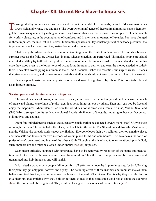## **Chapter XII. Do not Be a Slave to Impulses**

<span id="page-41-0"></span>Those guided by impulses and instincts wander about the world like drunkards, devoid of discrimination be-**L** tween right and wrong, true and false. The overpowering influence of these animal impulses makes them forget the dire consequences of yielding to them. They have no shame or fear; instead, they simply revel in the search for worldly pleasures, in the accumulation of comforts, and in the sheer enjoyment of luxuries. For those plunged in these impulses, the intellect is a useless, functionless possession. By constant pursuit of sensory pleasures, the impulses become hardened, and they strike deeper and stronger roots.

That is why the advice has been given in the *[Gita](#page-54-2)* to give up the fruit of one's actions. The impulses become stronger because the fruits are always kept in mind whenever actions are performed. This makes people proud and conceited, and they try to thrust their pride in the faces of others. The impulses enslave them, and under their influence they stoop even to the lowest type of wrongdoing in order to get rich and earn the money needed to satisfy them. They start worshipping mammon as their God. Of course, riches are essential, but surplus riches —riches that give worry, anxiety, and pain— are not desirable at all. One should not seek to acquire riches to that extent.

Besides, people strive to earn the praise of others and avoid being blamed by others. This too is to be classed as an impure impulse.

#### **Seeking praise and blaming others are impulses**

The world is a nest of crows; some caw in praise, some caw in derision. But you should be above the reach of praise and blame. Make light of praise; treat it as something spat out by others. Then only can you be free and enjoy real happiness. About blame: See how the world has not allowed even [Rama](#page-58-17), [Krishna,](#page-55-11) [Vishnu](#page-61-3), [Siva](#page-59-8), and (Sai) Baba to escape from its tendency to blame! People talk ill even of the gods, imputing to those perfect beings evil motives and actions!

From foul-minded people such as these, can any consideration be expected toward mere "man"? Any excuse is enough for them. The white hates the black; the black hates the white. The Shaivite scandalises the Vaishnavite, and the Vaishnavite spreads stories about the Shaivite. Everyone loves their own religion, their own native place, and themself; one loves one's own methods of worship and forms and ceremonies. This love takes the form of praise of one's own creed and blame of the other's faith. Though all this is related to one's relationship with God, such impulses are and must be classed under impure (*[malina](#page-56-20)*) impulses.

Such mean attitudes, saturated with ignorance, have to be removed by repetition of the name and meditation that fill the heart with broad and universal *[Atmic](#page-52-1)* wisdom. Then the limited impulses will be transformed and transmuted into holy impulses and will vanish.

It is indeed a wonder why people fail to put forth all effort to remove the impure impulses, for by following their path they get only pain, sorrow, and agony! The deluding effect of these instincts and impulses makes them believe and feel that they are on the correct path toward the goal of happiness. That is why they are reluctant to give them up, that explains why they hold on to them so fast. If they read some good books about the supreme *[Atma](#page-51-3)*, the brain could be brightened. They could at least grasp the essence of the scriptures (*[sastras](#page-59-9)*).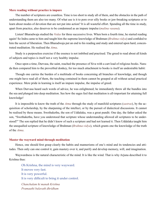#### <span id="page-42-0"></span>**Mere reading without practice is impure**

The number of scriptures are countless. Time is too short to study all of them, and the obstacles in the path of understanding them are also too many. Of what use is it to pore over silly books or jaw-breaking scriptures or to learn about modes of devotion that are not put into action? It is all wasteful effort. Spending all the time in study, apart from practice, also deserves to be condemned as an impure impulse (*[malina](#page-56-20) vasana*).

Listen! [Bharadwaja](#page-52-8) studied the *[Vedas](#page-61-1)* for three successive lives. When born a fourth time, he started reading again! So [Indra](#page-54-18) came to him and taught him the supreme knowledge of [Brahman](#page-52-4) (*[Brahma-vidya](#page-52-9)*) and confided to him the secret of liberation. Then [Bharadwaja](#page-52-8) put an end to his reading and study and entered upon hard, concentrated meditation. He realised the *[Atma](#page-51-3)*.

Study is a purposeless exercise if the essence is not imbibed and practised. The greed to read about all kinds of subjects and topics is itself not a very healthy impulse.

Once upon a time, [Durvasa,](#page-53-10) the saint, reached the presence of [Siva](#page-59-8) with a cart load of religious books. [Nara](#page-56-21)[da](#page-56-21) then compared him to the proverbial donkey, for too much attachment to books is itself an undesirable habit:

Though one carries the burden of a multitude of books concerning all branches of knowledge, and though one might have read all of them, the teaching contained in them cannot be grasped at all without actual practical experience. Mere pride in learning is itself an impure impulse, the impulse of greed.

When [Durvasa](#page-53-10) heard such words of advice, he was enlightened; he immediately threw all the bundles into the sea and plunged into deep meditation. See how the sages feel that meditation is all-important for attaining full knowledge!

It is impossible to know the truth of the *[Atma](#page-51-3)* through the study of manifold scriptures (*[sastras](#page-59-9)*), by the acquisition of scholarship, by the sharpening of the intellect, or by the pursuit of dialectical discussions. It cannot be realised by these means. [Swethakethu,](#page-60-2) the son of [Uddalaka,](#page-60-3) was a great pundit. One day, the father asked the son, ["Swethakethu](#page-60-2), have you understood that scripture whose understanding allowed all scriptures to be understood?" The son replied that he didn't know of such a scripture and had not learned it. Then [Uddalaka](#page-60-3) taught him the unequalled scripture of knowledge of [Brahman](#page-52-4) (*[Brahma-vidya](#page-52-9)*), which grants one the knowledge of the truth of the *[Atma](#page-51-3)*.

#### **Master the wayward mind through meditation**

Hence, one should first grasp clearly the habits and mannerisms of one's mind and its tendencies and attitudes. Then only can one control it, gain mastery over it, and purify and develop memory, will, and imagination.

Waywardness is the natural characteristic of the mind. It is like the wind. That is why [Arjuna](#page-51-14) described it to [Krishna](#page-55-11) thus:

Oh Krishna, the mind is very wayward. It moves very fast. It is very powerful. It is very difficult to bring it under control. *Chanchalam hi manah Krishna Pramaathi balavath dhridham*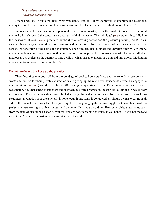#### *Thasyaaham nigraham manye Vaayoriva sudhushkaram.*

<span id="page-43-0"></span>[Krishna](#page-55-11) replied, "[Arjuna](#page-51-14), no doubt what you said is correct. But by uninterrupted attention and discipline, and by the practice of renunciation, it is possible to control it. Hence, practise meditation as a first step."

Impulses and desires have to be suppressed in order to get mastery over the mind. Desires excite the mind and make it rush toward the senses, as a dog runs behind its master. The individual (*[jiva](#page-54-4)*), poor thing, falls into the meshes of illusion (*[maya](#page-56-8)*) produced by the illusion-creating senses and the pleasure-pursuing mind! To escape all this agony, one should have recourse to meditation, freed from the clutches of desires and slavery to the senses. Do repetition of the name and meditation. Then you can also cultivate and develop your will, memory, and imagination along proper lines. Without meditation, it is not possible to control and master the mind. All other methods are as useless as the attempt to bind a wild elephant in rut by means of a thin and tiny thread! Meditation is essential to immerse the mind in the *[Atma](#page-51-3)*.

#### **Do not lose heart, but keep up the practice**

Therefore, first free yourself from the bondage of desire. Some students and householders reserve a few wants and desires for their private satisfaction while giving up the rest. Even householders who are engaged in concentration (*[dharana](#page-53-8)*) and the like find it difficult to give up certain desires. They retain them for their secret satisfaction. So, their energies get spent and they achieve little progress in the spiritual discipline in which they are engaged. These aspirants slide down the ladder they climbed so laboriously. To gain control over such unsteadiness, meditation is of great help. It is not enough if one sense is conquered; all should be mastered, from all sides. Of course, this is a very hard task; you might feel like giving up the entire struggle. But never lose heart. Be patient and persevering, and final success will be yours. Only, you should not, like some spiritual aspirants, stray from the path of discipline as soon as you feel you are not succeeding as much as you hoped. That is not the road to victory. Persevere, be patient, and earn victory in the end.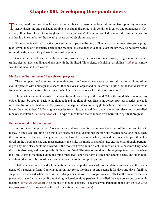## **Chapter XIII. Developing One-pointedness**

<span id="page-44-0"></span>The wayward mind wanders hither and thither, but it is possible to fasten it on one fixed point by means of steady discipline and persistent training in spiritual discipline. This condition is called one-pointedness ([eka](#page-53-3)*[gratha](#page-53-3)*). It is also referred to as single-mindedness (*[dharana](#page-53-8)*). The uninterrupted flow of oil from one vessel to another is a fine symbol of the mental process called single-mindedness.

For novices in spiritual practice, concentration appears to be very difficult to attain because, after some progress is won, they do not usually keep up the practice. Instead, they give it up; even though they do not have peace of mind on days when they desist from spiritual practice.

Concentration endows one with divine joy, wisdom beyond measure, inner vision, insight into the deeper truths, clearer understanding, and unison with the Godhead. This science of spiritual discipline (*[sadhana](#page-58-2)*) is more wonderful than the three worlds!

#### **Monkey meditation: harmful to spiritual progress**

The mind plans and executes innumerable deeds and roams over vast expanses, all in the twinkling of an eye! It operates with unimaginable speed. It conceives an object and dallies with it a little, but it soon discards it for another more attractive object toward which it flees and about which it begins to worry!

The spiritual aspirant has to be ever watchful of this tendency of the mind. When the mind flits from object to object, it must be brought back to the right path and the right object. That is the correct spiritual practice, the path of concentration and meditation. If, however, the aspirant does not struggle to achieve this one-pointedness but leaves the mind to itself, following its vagaries from this to that and that to this, the process deserves to be called monkey-meditation (*[markata](#page-56-22) [dhyana](#page-53-1)*) —a type of meditation that is indeed very harmful to spiritual progress.

#### **Force the mind to be one-pointed**

In short, the chief purpose of concentration and meditation is to minimise the travels of the mind and force it to stay in one place. Holding it on that fixed stage, one should continue the spiritual practice for a long time. Then there is no limit to the peace and joy that one can have. For example, when you meditate on a table, your thoughts dwell on the wood, the size and measurements, the style, the mode of manufacture, etc. No other thought pertaining to anything else should be allowed. If the thought hovers round a cot, the idea of a table becomes hazy, and the cot is also imagined incompletely. Both get confused. The state of mind must be single-pointed. So too, when the Lord's form is meditated upon, the mind must dwell upon the form of each part and its beauty and splendour, and these ideas must be coordinated and combined into the complete picture.

That is the modus operandi of meditation. Persistent performance of this meditation will result in the emergence of a particular form. Contemplating on that form, looking at it and seeing it for days and days, finally a stage will be reached when the form will disappear and you will forget yourself. That is the super-conscious (*[samadhi](#page-58-8)*) stage. In that stage, if one feeling or ideation alone persists, it is called the superconscious state with ideation (*[savikalpa-samadhi](#page-59-20)*). If no feeling or thought persists, it becomes what [Patanjali](#page-57-14), in the text on *[raja-yoga](#page-58-18)*  (*Rajayoga-sastra*), designated as the end of ideation (*[bhava-nasana](#page-52-10)*).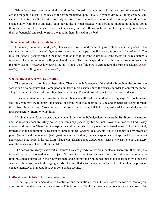<span id="page-45-0"></span>While doing meditation, the mind should not be allowed to wander away from the target. Whenever it flies off at a tangent, it must be led back to the form meditated upon. Finally, if you so desire, all things can be subsumed in that form itself. Nevertheless, only one form has to be meditated upon in the beginning. You should not change daily from one to another. Again, during the spiritual practice, you should not indulge in thoughts about things you do not like, that cause pain, or that shake your faith. If any such peep in, learn gradually to welcome them as beneficial and seek to grasp the good in them, instead of the bad.

#### **The inert mind reflects the intelligence**

Of course, the mind is inert (*[jada](#page-54-19)*). Just as when water, inert matter, begins to shine when it is placed in the sun, the inert mind borrows effulgence from the *[Atma](#page-51-3)* and appears as if it has consciousness (*[chaithanya](#page-53-5)*). The intellect (*[buddhi](#page-53-2)*) gets reflected in the mind, so it looks as if the mind is also intelligent, that is all. Its real nature is ignorance. The mind is not self-effulgent, like the *[Atma](#page-51-3)*. The mind's splendour is as the luminousness of insects in the rainy season. The *[Atma](#page-51-3)*, however, is the sun of suns, the effulgence of effulgences, the Supreme Light (*[Param](#page-57-15)[jyothi](#page-57-15)*), the self-effulgent (*swayam-jyothi*).

#### **Control the senses as well as the mind**

The senses can do nothing by themselves. They are not independent. If the mind is brought under control, the senses can also be controlled. Some people undergo mere asceticism of the senses in order to control the mind! They are ignorant of the real discipline that is necessary. The real discipline is the destruction of desire.

However vigilant warders may be, a clever robber can still steal in a hundred amazing ways. So too, however skillfully you may try to control the senses, the mind will drag them to its side and execute its desires through them. Note how the sage [Viswamitra,](#page-61-4) in spite of his austerities, fell before the wiles of the celestial nymphs (*[apsaras](#page-51-15)*) sent by [Indra](#page-54-18) to tempt him.

If only the outer door is closed and the inner door is left unbolted, calamity is certain. But if both the exterior and the interior doors are safely bolted, you can sleep peacefully, for no thief, however clever, will find it easy to enter and do harm. Therefore, the aspirant should establish mastery over the external senses. Then, the mind, immersed in the continuous succession of subject-object (*vishaya*) relationship, has to be controlled by means of peace (*[santhi](#page-58-1)*) and renunciation (*vairagya*). When that is done, one can experience real spiritual bliss (*[ananda](#page-51-6)*) and visualise the *[Atma](#page-51-3)*, in its real form. That is why [Krishna](#page-55-11) once told [Arjuna](#page-51-14), "Those who aspire to have mastery over the senses must have full faith in Me."

The senses are always extrovert in nature; they are greedy for external contacts. Therefore, they drag the ignorant perpetually toward external objects. So the spiritual aspirant, endowed with discrimination and renunciation, must place obstacles in their outward path and suppress their outbursts, just as the charioteer, wielding the whip and the reins, does to the raging steeds. Uncontrolled senses cause great harm. People in their grip cannot engage themselves in meditation, even for a single second.

#### **Cultivate good habits before concentration**

Form (*[rupa](#page-58-12)*) is fundamental for concentration and meditation. Even in the absence of the form in front of you, you should have the capacity to visualise it. This is not so difficult for those whose concentration is correct. But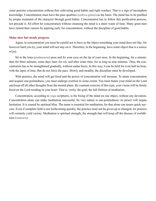<span id="page-46-0"></span>some practise concentration without first cultivating good habits and right conduct. That is a sign of incomplete knowledge. Concentration must have the pure qualities (*[sathwa-guna](#page-59-15)s*) as the basis. The mind has to be purified by proper treatment of the character through good habits. Concentration has to follow this purification process, not precede it. All effort for concentration without cleansing the mind is a sheer waste of time. Many great men have ruined their careers by aspiring early for concentration, without the discipline of good habits.

#### **Make slow but steady progress**

Again, in concentration you must be careful not to have as the object something your mind does not like, for however hard you try, your mind will not stay on it. Therefore, in the beginning, have some object that is a source of joy.

Sit in the lotus (*[padmasana](#page-57-4)*) pose and fix your eyes on the tip of your nose. In the beginning, for a minute; then for three minutes; some days later, for six; and after some time, for as long as nine minutes. Thus, the concentration has to be strengthened gradually, without undue hurry. In this way, it can be held for even half an hour, with the lapse of time. But do not force the pace. Slowly and steadily, the discipline must be developed.

With practice, the mind will get fixed and the power of concentration will increase. To attain concentration and acquire one-pointedness, you must undergo exertion to some extent. You must fasten your mind on the Lord and keep off all other thoughts from the mental plane. By constant exercise of this type, your vision will be firmly fixed on the Lord residing in your heart. That is, verily, the goal; the full fruition of meditation.

Concentration, according to *yoga* scriptures, is the fixing of the mind on one object, without any deviation. Concentration alone can make meditation successful. Its very nature is one-pointedness; its power will negate hesitation. It is caused by spiritual bliss. The name is essential for meditation, for that alone can insure quick success. Even if complete faith is not forthcoming quickly, the practice must not be given up or changed, for practice will certainly yield victory. Meditation is spiritual strength, the strength that will keep off the disease of worldliness (*[samsara](#page-58-11)*).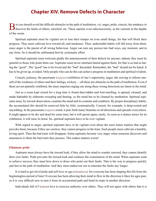## **Chapter XIV. Remove Defects in Character**

<span id="page-47-0"></span>But you should avoid the difficult obstacles in the path of meditation, viz. anger, pride, conceit, the tendency to discover the faults of others, mischief, etc. These operate even subconsciously, as the currents in the de of the ocean.

Spiritual aspirants must be vigilant not to lose their temper on even small things, for that will block their progress. They must cultivate love toward all, and meekness. Then, undesirable habits will fall away from them, since anger is the parent of all wrong behaviour. Anger can turn any person into bad ways, any moment, and in any form. So it should be sublimated first by systematic effort.

Spiritual aspirants must welcome gladly the announcement of their defects by anyone; indeed, they must be grateful to those who point them out. Aspirants must never entertain hatred against them, for that is as bad as hating the "good". The "good" has to be loved and the "bad" discarded. Remember, the "bad" should not be hated. It has to be given up, avoided. Only people who can do this can achieve progress in meditation and spiritual wisdom.

Conceit, jealousy, the passionate (*[rajasic](#page-57-5)*) exhibition of one's superiority, anger, the craving to inform oneself of the weakness of others and their failings, trickery —all these are obstacles in the path of meditation. Even if these are not patently exhibited, the inner impulses urging one along these wrong directions are latent in the mind.

Just as a room kept closed for a long time is found dust-ridden and foul-smelling, is opened, cleaned, and made habitable by elaborate sweeping and dusting, so the mind has to be cleaned by meditation. Spiritual aspirants must, by inward observation, examine the mind and its contents and condition. By proper disciplinary habits, the accumulated dirt should be removed little by little, systematically. Conceit, for example, is deep-rooted and unyielding. In the passionate (*[rajasic](#page-57-5)*) mind, it puts forth many branches in all directions and spreads everywhere. It might appear to be dry and dead for some time, but it will sprout again, easily. As soon as a chance arises for its exhibition, it will raise its hood. So, spiritual aspirants have to be ever vigilant.

With regard to anger, spiritual aspirants have to be vigilant even about the most minor matters that might provoke them, because if they are careless, they cannot progress in the least. Such people must cultivate a humble, loving spirit. Then the bad traits will disappear. Some aspirants become very angry when someone discovers and announces to them the bad traits they possess. This makes matters worse!

#### **Eliminate pride**

Aspirants must always have the inward look; if they allow the mind to wander outward, they cannot identify their own faults. Pride prevents the inward look and confuses the examination of the mind. When aspirants want to achieve success, they must bow down to those who point out their faults. That is the way to progress quickly and fast in the path of meditation. And they must endeavour not to entertain the faults any longer.

It is hard to get rid of pride and self-love or ego (*[ahamkara](#page-51-8)*), for everyone has been shaping this life from the beginningless period of time! Everyone has been allowing their mind to flow in the direction it likes for ages past, so it is very difficult now to turn it from its accustomed path and bend its steps in another direction.

Individuals full of I (*[aham](#page-51-16)*) love to exercise authority over others. They will not agree with others that it is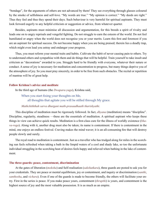<span id="page-48-0"></span>"bondage", for the arguments of others are not advanced by them! They see everything through glasses coloured by the smoke of selfishness and self-love. "My words are true." "My opinion is correct." "My deeds are right." Thus they feel and thus they spend their days. Such behaviour is very harmful for spiritual aspirants. They must look forward eagerly to any helpful criticism or suggestion or advice, from whatever quarter.

Besides, aspirants must minimise all discussion and argumentation, for this breeds a spirit of rivalry and leads one on to angry reprisals and vengeful fighting. Do not struggle to earn the esteem of the world. Do not feel humiliated or angry when the world does not recognise you or your merits. Learn this first and foremost if you are an aspirant for spiritual success. Do not become happy when you are being praised; therein lies a deadly trap, which might even lead you astray and endanger your progress.

Thus, you must reform your mental traits and habits. Cultivate the habit of never causing pain to others. Try to understand others and sympathise with them and do things that will be helpful. Train yourself to take insult and criticism as "decorations" awarded to you. Struggle hard to be friendly with everyone, whatever their nature or conduct. A sense of joy is necessary for meditation and concentration to progress, but many things deprive you of the atmosphere of joy. So you must pray sincerely, in order to be free from such obstacles. The recital or repetition of mantras will be of great help.

#### **Follow Krishna's advice and meditate**

In the third age of humans (the *[Dwapara-yuga](#page-53-11)*), [Krishna](#page-55-11) said,

When you start fixing your thoughts on Me, all thoughts that agitate you will be stilled through My grace.

#### *Mathchiththah sarva dhurgani math-prasaadhaath tharishyathi*.

This discipline of meditation must be rigorously followed. In fact, *[dhyana](#page-53-1)* (meditation) means "discipline". Discipline, regularity, steadiness —these are the essentials of meditation. A spiritual aspirant who keeps these things in view can achieve quick results. Meditation is a first-class cure for the illness of worldly existence (*[bha](#page-52-11)[va-roga](#page-52-11)*). Along with it, another drug must also be taken; its name is contentment. If there is contentment in the mind, one enjoys an endless festival. Craving makes the mind waver; it is an all-consuming fire that will destroy people slowly and surely.

The royal road to meditation is contentment. Just as a traveller who has trudged along for miles in the scorching sun feels refreshed when taking a bath in the limpid waters of a cool and shady lake, so too the unfortunate individual struggling in the scorching heat of desires feels happy and relieved when bathing in the lake of contentment.

#### **The three guards: peace, contentment, discrimination**

At the gates of liberation (*[moksha](#page-56-0)*) and Self-realisation (*[sakshatkara](#page-58-15)*), three guards are posted to ask you for your credentials. They are peace or mental equilibrium, joy or contentment, and inquiry or discrimination (*[santhi](#page-58-1)*, *[santhosha](#page-58-16)*, and *vichara*). Even if one of the guards is made to become friendly, the others will facilitate your entry. First in the series is peace. If you make peace yours, contentment (*thrupthi*) is yours, and contentment is the highest source of joy and the most valuable possession. It is as much as an empire.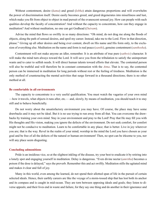<span id="page-49-0"></span>Without contentment, desire (*[kama](#page-55-12)*) and greed (*[lobha](#page-55-13)*) attain dangerous proportions and will overwhelm the power of discrimination itself. Desire easily becomes greed, and greed degenerates into miserliness and lust, which make you flit from object to object in mad pursuit of the evanescent sensual joy. How can people with such qualities develop the faculty of concentration? And without the capacity to concentrate, how can they engage in meditation? And without meditation, no one can get Godhead (*[Daivam](#page-53-12)*).

Advise the mind that flows so swiftly in so many directions: "Oh mind, do not drag me along the floods of objects, along the path of sensual desires, and spoil my career. Instead, take me to the Lord. Flow in that direction, please." Giving up all other desires and being ever content, dwell on His name and His form only, to the exclusion of everything else. Meditation on the name and form is real peace (*[santhi](#page-58-1)*), genuine contentment (*[santhosha](#page-58-16)*).

Contentment will not make anyone an idler, remember. It is an attribute of true pure (*[sathwic](#page-59-5)*) character. It will make the mind turn always toward the Lord. It will save you from the tribulation to satisfy the unimportant wants and to cater to selfish needs. It will direct human talents toward efforts that elevate. The contented person will also be truthful and will therefore be in constant communion with the *[Atma](#page-51-3)*. That is to say, the contented person can be immersed in meditation for long periods without rest or the feeling of tiredness. Meditation is the only method of counteracting the mental activities that surge forward in a thousand directions; there is no other method at all.

#### **Be comfortable in all environments**

The capacity to concentrate is a very useful qualification. You must watch the vagaries of your own mind —how it travels, what objects it runs after, etc.— and, slowly, by means of meditation, you should teach it to stay still and to behave beneficially.

Do not worry about the unsatisfactory environment you may have. Of course, the place may have some drawbacks and it may not be ideal. But it is no use trying to run away from all that. You can overcome the drawbacks by training your own mind. Stay in your environment and pray to the Lord! Pray that He may fill you with His thoughts and His vision, making you ignore the defects of the environment. Do not seek comfort, for comfort might not be conducive to meditation. Learn to be comfortable in any place; that is better. Live in joy wherever you are; that is the way. Revel in the realm of your mind; worship in the mind the Lord you have chosen as your goal and be free of all the defects of the natural or human environment! Then, no spot can be irksome to you, nor will any place seem disgusting.

#### **Concluding admonitions**

Pride is an insidious vice, so at the slightest inkling of the disease, try your best to eradicate it by retiring into a lonely spot and engaging yourself in meditation. Delay is dangerous. "Even divine nectar (*[amritha](#page-51-17)*) becomes a poison if the dose is delayed," says the proverb. Remember this and act swiftly. Meditation stills the agitated mind and makes it clear and full of joy.

Many in this world, even among the learned, do not spend their allotted span of life in the pursuit of certain selected ideals. Hence, their earthly careers are like the voyage of a storm-tossed ship that has lost both its anchor and its compass and is caught in mid-ocean. They are torn between opposing ideals and goals; they listen to diverse appeals; and their lives end in waste and failure, for they say one thing and do another in their ignorance and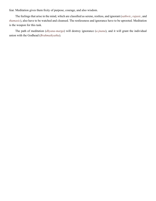<span id="page-50-0"></span>fear. Meditation gives them fixity of purpose, courage, and also wisdom.

The feelings that arise in the mind, which are classified as serene, restless, and ignorant (*[sathwic](#page-59-5)*, *[rajasic](#page-57-5)*, and *thamasic*), also have to be watched and cleansed. The restlessness and ignorance have to be uprooted. Meditation is the weapon for this task.

The path of meditation (*[dhyana-marga](#page-53-13)*) will destroy ignorance (*[a-jnana](#page-51-11)*), and it will grant the individual union with the Godhead (*[Brahmaikyatha](#page-52-12)*).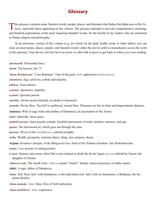## **Glossary**

<span id="page-51-0"></span>This glossary contains many Sanskrit words, people, places, and literature that Sathya Sai Baba uses in His Vahinis, especially those appearing in this volume. The glossary attempts to provide comprehensive meanings and detailed explanations of the more important Sanskrit words, for the benefit of lay readers who are interested in Hindu religion and philosophy.

In an electronic version of this volume (e.g. an e-book for the ipad, kindle, nook, or other tablet), you can click on most names, places, people, and Sanskrit words within the text in order to immediately access the word in this glossary. Your device will also have an arrow or other link to press to get back to where you were reading.

<span id="page-51-9"></span>*adi-murthi*. Primordial force.

<span id="page-51-16"></span>*aham*. The knower, the "I".

*Aham Brahmasmi*. "I am [Brahman.](#page-52-4)" One of the great *[Vedic](#page-61-5)* aphorisms (*[mahavakyas](#page-56-1)*).

<span id="page-51-8"></span>*ahamkara*. Ego, self-love, selfish individuality.

*ahimsa*. Nonviolence.

.

<span id="page-51-11"></span>*a-jnana*. Ignorance, stupidity.

<span id="page-51-13"></span>*a-jnani*. Ignorant person.

<span id="page-51-17"></span>*amritha*. Divine nectar (literally, no death or immortal).

<span id="page-51-6"></span>*ananda*. Divine bliss. The Self is unalloyed, eternal bliss. Pleasures are but its faint and impermanent shadows.

<span id="page-51-10"></span>**Anasuya**. Wife of sage [Athri](#page-51-18) and mother of [Dattatreya](#page-53-14); an incarnation of the Trinity.

<span id="page-51-7"></span>*antar vimarsha*. Inner quest.

<span id="page-51-2"></span>*anthah-karana*. Inner psycho-somatic fourfold instruments of mind, intellect, memory, and ego.

*apana*. The downward air, which goes out through the anus.

<span id="page-51-15"></span>*apsaras*. Wives of the *[Gandharvas](#page-53-15)*, celestial nymphs.

<span id="page-51-19"></span>*artha*. Wealth, prosperity, material object, thing, aim, purpose, desire.

<span id="page-51-14"></span>**Arjuna**. [Krishna](#page-55-11)'s disciple, in the *[Bhagavad Gita](#page-52-13)*; third of five [Pandava](#page-57-16) brothers. See *[Mahabharatha](#page-55-14)*.

<span id="page-51-4"></span>*asana*. *Yoga* posture or sitting posture.

<span id="page-51-12"></span>*a-sura*. Demon; term arose when Diti's sons refused to drink the divine liquor (*suraa*) offered by Varuni, the daughter of [Varuna.](#page-61-6)

*Atharva-veda*. The fourth *[Veda](#page-61-7)*. *Atharva* means "fourth". Steady, unmoved person, of stable nature.

<span id="page-51-18"></span>**Athri**. A sage; father of [Dattatreya.](#page-53-14)

<span id="page-51-3"></span>*Atma*. Self; Soul. Self, with limitations, is the individual soul. Self, with no limitations, is [Brahman,](#page-52-4) the Supreme Reality.

<span id="page-51-1"></span>*Atma-ananda*. *[Atmic](#page-52-1)* bliss, bliss of Self-realization.

<span id="page-51-5"></span>*Atma-anubhava*. *[Atmic](#page-52-1)* experience.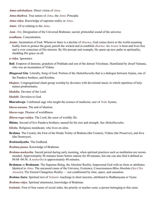<span id="page-52-0"></span>*Atma-sakshatkara*. Direct vision of *[Atma](#page-51-3)*.

*Atma-thathwa*. True nature of *[Atma](#page-51-3)*, the *[Atmic](#page-52-1)* Principle.

<span id="page-52-5"></span>*Atma-vidya*. Knowledge of supreme reality or *[Atma](#page-51-3)*.

<span id="page-52-1"></span>*Atmic*. Of or relating to the *[Atma](#page-51-3)*.

<span id="page-52-15"></span>*Aum*. *[Om](#page-56-5)*; Designation of the Universal [Brahman;](#page-52-4) sacred, primordial sound of the universe.

<span id="page-52-2"></span>*avadhana*. Concentration.

<span id="page-52-3"></span>*Avatar*. Incarnation of God. Whenever there is a decline of *[dharma](#page-53-0)*, God comes down to the world assuming bodily form to protect the good, punish the wicked and re-establish *[dharma](#page-53-0)*. An *Avatar* is born and lives free and is ever conscious of His mission. By His precept and example, He opens up new paths in spirituality, shedding His grace on all.

*a-vidya*. Ignorance.

<span id="page-52-18"></span>**Bali**. Emperor of demons; grandson of [Prahlada](#page-57-11) and son of the demon Virochana. Humiliated by dwarf [Vamana](#page-60-0), who was an incarnation of [Vishnu](#page-61-3).

<span id="page-52-13"></span>*Bhagavad Gita*. Literally, Song of God. Portion of the *[Mahabharatha](#page-55-14)* that is a dialogue between [Arjuna](#page-51-14), one of the [Pandava](#page-57-16) brothers, and [Krishna.](#page-55-11)

*bhajans*. Congregational chant group worship by devotees with devotional music in which repetition of holy names predominates.

*bhaktha*. Devotee of the Lord.

*bhakthi*. Devotion to God.

<span id="page-52-8"></span>**Bharadwaja**. Celebrated sage who taught the science of medicine; seer of *[Vedic](#page-61-5)* hymns.

<span id="page-52-10"></span>*bhava-nasana*. The end of ideation.

<span id="page-52-11"></span>*bhava-roga*. Disease of worldliness.

*Bhava-roga-vaidya*. The Lord; the curer of worldly ills.

<span id="page-52-16"></span>**Bhima**. Second of five [Pandava](#page-57-16) brothers; named for his size and strength. See *[Mahabharatha](#page-55-14)*.

<span id="page-52-6"></span>*bikshu*. Religious mendicant, who lives on alms.

<span id="page-52-14"></span>**Brahma**. The Creator, the First of the Hindu Trinity of [Brahma](#page-52-14) (the Creator), [Vishnu](#page-61-3) (the Preserver), and [Siva](#page-59-8)  (the Destroyer).

<span id="page-52-12"></span>*Brahmaikyatha*. The Godhead.

<span id="page-52-7"></span>*Brahma-jnana*. Knowledge of [Brahman.](#page-52-4)

- *Brahma-muhurtha*. Sacred period during early morning, when spiritual practices such as meditation are recommended. Approximately 96 minutes hours before sunrise for 48 minutes, but one can also find it defined as 04:08–04:56. A *muhurtha* is approximately 48 minutes.
- <span id="page-52-4"></span>**Brahman** or **Brahmam**. The Supreme Being, the Absolute Reality, Impersonal God with no form or attributes. Identical to *[Atma](#page-51-3)*. The uncaused cause of the Universe, Existence, Consciousness-Bliss Absolute (*[Sat-Chit-](#page-59-3)[Ananda](#page-59-3)*); The Eternal Changeless Reality — not conditioned by time, space, and causation.

<span id="page-52-19"></span>*Brahma Sutra*. Spiritual text of *[Vedantic](#page-61-0)* teachings in short maxims, attributed to Badharayana or [Vyasa](#page-61-8)

<span id="page-52-9"></span>*Brahma-vidya*. Spiritual attainment, knowledge of [Brahman](#page-52-4).

<span id="page-52-17"></span>*brahmin*. First of four [castes](#page-53-16) of social order, the priestly or teacher [caste](#page-53-16); a person belonging to this [caste.](#page-53-16)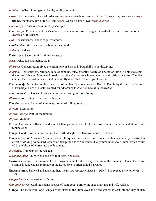<span id="page-53-2"></span>*buddhi*. Intellect, intelligence, faculty of discrimination.

- <span id="page-53-16"></span>**caste**. The four castes of social order are: *brahmin* (priestly or teacher), *[kshatriya](#page-55-15)* (warrior, protector), *vaisya* (trader, merchant, agriculturist), and *sudra* (worker, helper). See *varna dharma*.
- <span id="page-53-5"></span>*chaithanya*. Consciousness, intelligence, spirit.
- **Chaithanya**. Fifteenth century [Vaishnavite](#page-60-4) mendicant reformer; taught the path of love and devotion to the *[Avatar](#page-52-3)* of Sri [Krishna](#page-55-11).
- <span id="page-53-6"></span>*chit*. Consciousness, knowledge, awareness.
- <span id="page-53-19"></span>*chittha*. Mind stuff, memory, subconscious mind.

<span id="page-53-12"></span>*Daivam*. Godhead.

- <span id="page-53-14"></span>**Dattatreya**. Sage son of [Athri](#page-51-18) and [Anasuya](#page-51-10).
- <span id="page-53-18"></span>*deva*. Deity, celestial being, God.
- <span id="page-53-8"></span>*dharana*. Concentration, fixed attention, one of 8 steps in [Patanjali'](#page-57-14)s *yoga* discipline.
- <span id="page-53-0"></span>*dharma*. Righteousness, religion, code of conduct, duty, essential nature of a being or thing. It holds together the entire Universe. Man is exhorted to practise *dharma* to achieve material and spiritual welfare. The *[Vedas](#page-61-1)* contain the roots of *dharma*. God is naturally interested in the reign of *dharma*.
- <span id="page-53-22"></span>**Dharmaraja**. Name for [Yudhistira,](#page-62-0) eldest of the five [Pandava](#page-57-16) brothers. Born to [Kunthi](#page-55-16) by the grace of [Yama](#page-61-9)  [Dharmaraja,](#page-61-9) Lord of Death. Named for adherence to *[dharma](#page-53-0)*. See *[Mahabharatha](#page-55-14)*.
- <span id="page-53-20"></span>*Dharma Sastras*. Codes of law and ethics concerning virtuous living.
- <span id="page-53-7"></span>*dharmic*. According to *[dharma](#page-53-7)*, righteous.
- **Dhritharashtra**. Father of [Kauravas;](#page-55-17) holder of ruling power.

<span id="page-53-1"></span>*dhyana*. Meditation.

- <span id="page-53-13"></span>*dhyana-marga*. Path of meditation.
- <span id="page-53-4"></span>*dhyani*. Meditator.
- <span id="page-53-9"></span>**Druva**. Grandson of [Brahma](#page-52-14) and son of Uttanapadha; as a child, he performed severe penance and attained selfrenunciation.
- **Durga**. Goddess of the universe; mother earth; daughter of Himaval and wife of [Siva](#page-59-8).
- <span id="page-53-10"></span>**Durvasa**. Son of [Athri](#page-51-18) and [Anasuya](#page-51-10); known for quick temper and severe curses with an eventually constructive effect of driving home hard lessons of discipline and virtuousness. He granted boons to [Kunthi,](#page-55-16) which resulted in the births of [Karna](#page-55-18) and the [Pandavas](#page-57-16).

*dussanga*. Company of the wicked.

- <span id="page-53-11"></span>*Dwapara-yuga*. Third in the cycle of four ages. See *yuga*.
- <span id="page-53-17"></span>**Easwara** (Iswara). The Supreme Lord. Easwara is the Lord of every creature in the universe. Hence, the entire cosmos is reflected as an image in the Lord. [Siva](#page-59-8) is often called Easwara.
- **Easwaramma**. Sathya Sai Baba's mother; means *the mother of [Easwara](#page-53-17)* (*God*). She passed away on 6 May 6 1998.

<span id="page-53-3"></span>*ekagratha*. One-pointedness of mind.

<span id="page-53-15"></span>*Gandharvas*. Celestial musicians, a class of demigods; born to the sage [Kasyapa](#page-55-19) and wife Arishta.

<span id="page-53-21"></span>**Ganga**. The 1560-mile-long Ganges river; starts in the Himalayas and flows generally east into the Bay of Ben-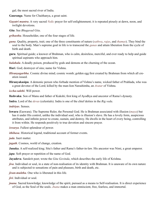<span id="page-54-0"></span>gal; the most sacred river of India.

- <span id="page-54-17"></span>**Gauranga**. Name for Chaithanya, a great saint.
- <span id="page-54-24"></span>*Gayatri mantra*. A very sacred *[Vedic](#page-61-5)* prayer for self-enlightenment; it is repeated piously at dawn, noon, and twilight devotions.
- <span id="page-54-2"></span>*Gita*. See *[Bhagavad Gita](#page-52-13)*.

<span id="page-54-11"></span>*grihastha*. Householder, one of the four stages of life.

- <span id="page-54-13"></span>*guna*. Quality, property, trait; one of the three constituents of nature (*[sathwa](#page-59-16)*, *[rajas](#page-57-10)*, and *thamas*). They bind the soul to the body. Man's supreme goal in life is to transcend the *gunas* and attain liberation from the cycle of birth and death.
- <span id="page-54-1"></span>**guru**. Spiritual guide; a knower of [Brahman](#page-52-4), who is calm, desireless, merciful, and ever ready to help and guide spiritual aspirants who approach him.
- <span id="page-54-12"></span>*halahala*. A deadly poison, produced by gods and demons at the churning of the ocean.
- <span id="page-54-14"></span>**Hari**. God; destroyer of sins; name for [Vishnu](#page-61-3).
- *Hiranyagarbha*. Cosmic divine mind; cosmic womb; golden egg first created by [Brahman](#page-52-4) from which all creation issued.
- <span id="page-54-20"></span>**Hiranyakasipu**. A demonic person who forbade mention of [Vishnu'](#page-61-3)s name, wicked father of [Prahlada](#page-57-11), who was a great devotee of the Lord; killed by the man-lion [Narashimha](#page-56-23), an *[Avatar](#page-52-3)* of [Vishnu](#page-61-3).
- <span id="page-54-15"></span>*iccha-sakthi*. Will power.
- <span id="page-54-23"></span>**Ikshvaku**. Son of [Manu](#page-56-9) and father of Kukshi; first king of Ayodhya and ancestor of [Rama'](#page-58-17)s dynasty.
- <span id="page-54-18"></span>**Indra**. Lord of the *[devas](#page-53-18)* (celestials). Indra is one of the chief deities in the *[Rig veda](#page-61-1)*.

*indriyas*. Senses.

- <span id="page-54-8"></span>**Iswara** (Easwara). The Supreme Ruler, the Personal God. He is [Brahman](#page-52-4) associated with illusion (*[maya](#page-56-8)*) but has it under His control, unlike the individual soul, who is illusion's slave. He has a lovely form, auspicious attributes, and infinite power to create, sustain, and destroy. He dwells in the heart of every being, controlling it from within. He responds positively to true devotion and sincere prayer.
- <span id="page-54-10"></span>*iswarya*. Fullest splendour of power.
- <span id="page-54-21"></span>*ithihasa*. Historical legend, traditional account of former events.

<span id="page-54-19"></span>*jada*. Inert matter.

- <span id="page-54-9"></span>*jagath*. Cosmos, world of change, creation.
- <span id="page-54-22"></span>**Janaka**. A self-realized king; [Sita](#page-59-21)'s father and [Rama'](#page-58-17)s father-in-law. His ancestor was Nimi, a great emperor.
- <span id="page-54-3"></span>*japa*. Soft prayer or repetition of the name of God.
- <span id="page-54-16"></span>**Jayadeva**. Sanskrit poet; wrote the *Gita Govinda*, which describes the early life of [Krishna.](#page-55-11)
- <span id="page-54-4"></span>*jiva*. Individual or soul, in a state of non-realisation of its identity with [Brahman](#page-52-4). It is unaware of its own nature and is subjected to sensations of pain and pleasure, birth and death, etc.
- <span id="page-54-6"></span>*jivan-muktha*. One who is liberated in this life.
- <span id="page-54-5"></span>*jivi*. Individual or soul.
- <span id="page-54-7"></span>*jnana*. Sacred knowledge; knowledge of the spirit, pursued as a means to Self-realisation. It is direct experience of God, as the Soul of the souls. *Jnana* makes a man omniscient, free, fearless, and immortal.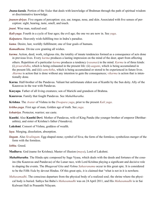- <span id="page-55-20"></span>*Jnana-kanda*. Portion of the *[Vedas](#page-61-1)* that deals with knowledge of [Brahman](#page-52-4) through the path of spiritual wisdom or discriminative knowledge.
- <span id="page-55-3"></span>*jnanen-driyas*. Five organs of perception: eye, ear, tongue, nose, and skin. Associated with five senses of perception: sight, hearing, taste, smell, and touch.
- <span id="page-55-2"></span>*jnani*. Wise man, realized soul.
- <span id="page-55-7"></span>*Kali-yuga*. Fourth in a cycle of four ages; the evil age; the one we are now in. See *yuga*.
- <span id="page-55-10"></span>*Kalpataru*. Heavenly wish-fulfilling tree in [Indra](#page-54-18)'s paradise.
- <span id="page-55-12"></span>*kama*. Desire, lust, worldly fulfillment; one of four goals of humans.
- <span id="page-55-9"></span>*Kamadhenu*. Divine cow granting all wishes.
- <span id="page-55-1"></span>*karma*. Action, deed, work, religious rite, the totality of innate tendencies formed as a consequence of acts done in previous lives. Every *karma* produces a lasting impression on the mind of the doer, apart from affecting others. Repetition of a particular *karma* produces a tendency (*vasanas*) in the mind. *Karma* is of three kinds: (i) *praarabdha*, which is being exhausted in the present life: (ii) *aagami*, which is being accumulated in the present life, and (iii) *samchitha*, which is being accumulated or stored to be experienced in future lives. *Akarma* is action that is done without any intention to gain the consequences; *vikarma* is action that is intentionally done.
- <span id="page-55-18"></span>**Karna**. Half-brother of the [Pandavas](#page-57-16). Valiant but unfortunate eldest son of [Kunthi](#page-55-16) by the Sun deity. Ally of the [Kauravas](#page-55-17) in the war with [Pandavas.](#page-57-16)
- <span id="page-55-19"></span>**Kasyapa**. Father of all living creatures; son of Marichi and grandson of [Brahma.](#page-52-14)
- <span id="page-55-17"></span>**Kauravas**. Family that fought [Pandavas.](#page-57-16) See *[Mahabharatha](#page-55-14)*.
- <span id="page-55-11"></span>**Krishna**. The *[Avatar](#page-52-3)* of [Vishnu](#page-61-3) in the *Dwapara yuga*, prior to the present *Kali yuga*.
- *kritha-yuga*. First age of man, Golden age of truth. See *yuga*.
- <span id="page-55-15"></span>*kshatriya*. Protector, warrior; see [caste](#page-53-16).
- <span id="page-55-16"></span>**Kunthi**. Also **Kunthi Devi**. Mother of [Pandavas](#page-57-16), wife of King Pandu (the younger brother of emperor Dhritharashtra), and sister of [Krishna](#page-55-11)'s father [\(Vasudeva](#page-61-10)).
- <span id="page-55-5"></span>**Lakshmi**. Consort of [Vishnu](#page-61-3), goddess of wealth.
- <span id="page-55-4"></span>*laya*. Merging, dissolution, absorption.
- <span id="page-55-8"></span>*lingam*. Also *Sivalingam*. Egg-shaped stone; symbol of [Siva;](#page-59-8) the form of the formless; symbolizes merger of the form with the formless.
- <span id="page-55-13"></span>*lobha*. Greed.
- <span id="page-55-6"></span>**Madhava**. God (name for [Krishna](#page-55-11)); Master of illusion (*[maya](#page-56-8)*), Lord of [Lakshmi](#page-55-5).
- <span id="page-55-14"></span>*Mahabharatha*. The Hindu epic composed by Sage [Vyasa,](#page-61-8) which deals with the deeds and fortunes of the cousins (the [Kauravas](#page-55-17) and [Pandavas\)](#page-57-16) of the Lunar race, with Lord [Krishna](#page-55-11) playing a significant and decisive role in shaping the events. The *[Bhagavad Gita](#page-52-13)* and *Vishnu [Sahasranama](#page-58-19)* occur in this great epic. It is considered to be the Fifth *[Veda](#page-61-1)* by devout Hindus. Of this great epic, it is claimed that "what is not in it is nowhere.
- <span id="page-55-0"></span>*Mahasamadhi*. The conscious departure from the physical body of a realized soul; the shrine where the physical body is buried. Sathya Sai Baba's *Mahasamadhi* was on 24 April 2011, and His *Mahasamadhi* is in Sai Kulwant Hall in Prasanthi Nilayam.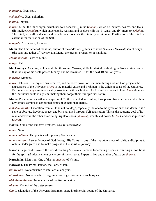<span id="page-56-6"></span>*mahatma*. Great soul.

<span id="page-56-1"></span>*mahavakya*. Great aphorism.

<span id="page-56-20"></span>*malina*. Impure.

<span id="page-56-4"></span>*manas*. Mind, the inner organ, which has four aspects: (i) mind (*manas*), which deliberates, desires, and feels; (ii) intellect (*[buddhi](#page-53-2)*), which understands, reasons, and decides; (iii) the 'I' sense, and (iv) memory (*[chitha](#page-53-19)*). The mind, with all its desires and their broods, conceals the Divinity within man. Purification of the mind is essential for realisation of the Self.

<span id="page-56-7"></span>*mangala*. Auspicious, fortunate.

<span id="page-56-9"></span>**Manu**. The first father of mankind; author of the codes of righteous conduct (*[Dharma Sastras](#page-53-20)*); son of [Surya](#page-60-5)  (the sun) and father of Vaivaswatha Manu, the present progenitor of mankind.

<span id="page-56-10"></span>*Manu-smrithi*. Laws of [Manu](#page-56-9).

<span id="page-56-3"></span>*marga*. Path.

<span id="page-56-18"></span>**Markandeya**. As a boy, he knew all the *[Vedas](#page-61-1)* and *[Sastras](#page-59-9)*; at 16, he started meditating on [Siva](#page-59-8) so steadfastly that the day of his death passed him by, and he remained 16 for the next 10 million years.

<span id="page-56-22"></span>*markata*. Monkey.

- <span id="page-56-8"></span>*maya*. Delusion. The mysterious, creative, and delusive power of [Brahman](#page-52-4) through which God projects the appearance of the Universe. *Maya* is the material cause and [Brahman](#page-52-4) is the efficient cause of the Universe. [Brahman](#page-52-4) and *maya* are inextricably associated with each other like fire and its power to heat. *Maya* deludes the individual souls in egoism, making them forget their true spiritual nature.
- <span id="page-56-19"></span>**Meera**. Princess of Rajasthan and queen of Chittor; devoted to [Krishna](#page-55-11); took poison from her husband without any effect; composed devotional songs of exceptional quality.
- <span id="page-56-0"></span>*moksha*, *mukthi*. Liberation from all kinds of bondage, especially the one to the cycle of birth and death. It is a state of absolute freedom, peace, and bliss, attained through Self-realisation. This is the supreme goal of human endeavour, the other three being, righteousness (*[dharma](#page-53-0)*), wealth and power (*[artha](#page-51-19)*), and sense-pleasure (*[kama](#page-55-12)*).

**Nakula**. One of the [Pandava](#page-57-16) brothers. See *[Mahabharatha](#page-55-14)*.

<span id="page-56-17"></span>*nama*. Name.

- <span id="page-56-16"></span>*nama-sadhana*. The practice of repeating God's name.
- <span id="page-56-15"></span>*namasmarana*. Remembrance of God through His Name — one of the important steps of spiritual discipline to obtain God's grace and to make progress in the spiritual journey.
- <span id="page-56-21"></span>**Narada**. Sage-bard; traveled the world chanting *[Narayana](#page-56-14)*. Famous for creating disputes, resulting in solutions for the spiritual advancement or victory of the virtuous. Expert in law and author of texts on *[dharma](#page-53-0)*.
- <span id="page-56-23"></span>**Narasimha**. Man-lion. One of the ten *[Avatars](#page-52-3)* of [Vishnu](#page-61-3).

<span id="page-56-14"></span>**Narayana**. The Primal Person, the Lord, [Vishnu](#page-61-3).

<span id="page-56-13"></span>*nir-vichara*. Not amenable to intellectual analysis.

<span id="page-56-12"></span>*nir-vitharka*. Not amenable to arguments or logic; transcends such logics.

<span id="page-56-2"></span>*nish-kama-karma*. Renunciation of the fruit of action.

<span id="page-56-11"></span>*niyama*. Control of the outer senses.

<span id="page-56-5"></span>*Om*. Designation of the Universal [Brahman](#page-52-4); sacred, primordial sound of the Universe.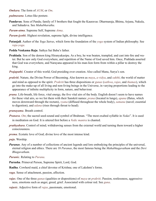*Omkara*. The form of *[AUM](#page-52-15)*, or *Om*.

<span id="page-57-4"></span>*padmasana*. Lotus-like posture.

<span id="page-57-16"></span>**Pandavas**. Sons of Pandu; family of 5 brothers that fought the [Kauravas:](#page-55-17) [Dharmaraja,](#page-62-0) [Bhima,](#page-52-16) [Arjuna,](#page-51-14) Nakula, and Sahadeva. See *[Mahabharatha](#page-55-14)*.

<span id="page-57-1"></span>*Param-atma*. Supreme Self, Supreme *[Atma](#page-51-3)*.

<span id="page-57-15"></span>*Param-jyothi*. Highest revelation, supreme light, divine intelligence.

- <span id="page-57-14"></span>**Patanjali**. Author of the *[Yoga Sutras](#page-61-11)*, which form the foundation of the *yoga* system of Indian philosophy. See *[raja-yoga](#page-58-18)*.
- **Pedda Venkama Raju**. Sathya Sai Baba's father.
- <span id="page-57-11"></span>**Prahlada**. Son of the demon king [Hiranyakasipu.](#page-54-20) As a boy, he was beaten, trampled, and cast into fire and water. But he saw only God everywhere, and repetition of the Name of God saved him. Once, [Prahlada](#page-57-11) asserted that God was everywhere, and [Narayana](#page-56-14) appeared in his man-lion form from within a pillar to destroy the king.
- <span id="page-57-18"></span>*Prajapathi*. Creator of this world; God presiding over creation. Also called [Manu](#page-56-9), [Surya](#page-60-5)'s son.
- <span id="page-57-2"></span>*prakriti*. Nature, the Divine Power of Becoming. Also known as *[maya](#page-56-8)*, *a-vidya*, and *[sakthi](#page-58-3)*; the world of matter and mind as opposed to the spirit. *Prakriti* has three dispositions or *[gunas](#page-54-13)* (*[sathwa](#page-59-16)*, *[rajas](#page-57-10)*, and *thamas*), which go into the make-up of all living and non-living beings in the Universe, in varying proportions leading to the appearance of infinite multiplicity in form, nature, and behaviour.
- <span id="page-57-3"></span>*prana*. Life-breath, life force, vital energy, the five vital airs of the body. English doesn't seem to have names for these vital airs, so we list them with their Sanskrit names: *prana* (located in lungs), *apana* (flatus, which moves downward through the rectum), *vyana* (diffused throughout the whole body), *[samana](#page-58-20)* (navel; essential to digestion), and *udana* (rises through throat to head).

<span id="page-57-7"></span>*pranayama*. Breath control.

- *Pranava*. *[Om](#page-56-5)*; the sacred seed-sound and symbol of [Brahman.](#page-52-4) "The most exalted syllable in *[Vedas](#page-61-1)*". It is used in meditation on God. It is uttered first before a *[Vedic](#page-61-5) mantra* is chanted.
- <span id="page-57-8"></span>*prathyahara*. Control of mind; withdrawing senses from the external world and turning them toward a higher consciousness.
- <span id="page-57-0"></span>*prema*. Ecstatic love of God; divine love of the most intense kind.

<span id="page-57-6"></span>*puja*. Worship.

<span id="page-57-17"></span>*Puranas*. Any of a number of collections of ancient legends and lore embodying the principles of the universal, eternal religion and ethics. There are 18 *Puranas*, the most famous being the *Mahabhagavatham* and the *Devi Bhagavatham*.

*Puranic*. Relating to *[Purana](#page-57-17)*.

<span id="page-57-9"></span>**Purusha**. Primeval Person, Supreme Spirit, Lord, God.

<span id="page-57-12"></span>**Radha**. Cowherd maid, a chief devotee of [Krishna;](#page-55-11) one of [Lakshmi](#page-55-5)'s forms.

<span id="page-57-13"></span>*raga*. Sense of attachment, passion, affection.

<span id="page-57-10"></span>*rajas*. One of the three *[gunas](#page-54-13)* (qualities or dispositions) of *[maya](#page-56-8)* or *[prakriti](#page-57-2)*. Passion, restlessness, aggressiveness, emotions such as anger, greed, grief. Associated with colour red. See *[guna](#page-54-13)*.

<span id="page-57-5"></span>*rajasic*. Adjective form of *[rajas](#page-57-10)*, passionate, emotional.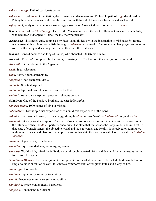<span id="page-58-5"></span>*rajasika-marga*. Path of passionate action.

- <span id="page-58-18"></span>*raja-yoga*. Royal *yoga* of meditation, detachment, and desirelessness. Eight-fold path of *yoga* developed by [Patanjali](#page-57-14), which includes control of the mind and withdrawal of the senses from the external world.
- <span id="page-58-13"></span>*rajoguna*. Quality of passion, restlessness, aggressiveness. Associated with colour red. See *[guna](#page-54-13)*.
- <span id="page-58-17"></span>**Rama**. *[Avatar](#page-52-3)* of the *Thretha yuga*. Hero of the *[Ramayana](#page-58-21)*; killed the wicked [Ravana](#page-58-22) to rescue his wife [Sita](#page-59-21), who had been kidnapped. "Rama" means "he who pleases".
- <span id="page-58-21"></span>*Ramayana*. This sacred epic, composed by Sage [Valmiki,](#page-60-6) deals with the incarnation of [Vishnu](#page-61-3) as Sri [Rama](#page-58-17), who strove all his life to reestablish the reign of *[dharma](#page-53-0)* in the world. The *Ramayana* has played an important role in influencing and shaping the Hindu ethos over the centuries.

<span id="page-58-22"></span>**Ravana**. Lord of demons and king of Lanka, who abducted [Sita](#page-59-21) [\(Rama](#page-58-17)'s wife).

<span id="page-58-23"></span>*Rig-veda*. First *[Veda](#page-61-1)* composed by the sages, consisting of 1028 hymns. Oldest religious text in world.

<span id="page-58-24"></span>*Rig-vedic*. Of or relating to the *[Rig-veda](#page-58-23)*.

<span id="page-58-6"></span>*rishi*. Sage, wise man.

<span id="page-58-12"></span>*rupa*. Form, figure, appearance.

<span id="page-58-14"></span>*sadguna*. Good character, virtue.

<span id="page-58-4"></span>*sadhaka*. Spiritual aspirant.

<span id="page-58-2"></span>*sadhana*. Spiritual discipline or exercise; self effort.

<span id="page-58-0"></span>*sadhu*. Virtuous, wise aspirant; pious or righteous person.

**Sahadeva**. One of the [Pandava](#page-57-16) brothers. See *[Mahabharatha](#page-55-14)*.

<span id="page-58-19"></span>*sahasra-nama*. 1000 names of [Siva](#page-59-8) or [Vishnu](#page-61-3).

<span id="page-58-15"></span>*sakshatkara*. Divine spiritual experience or vision; direct experience of the Lord.

<span id="page-58-3"></span>*sakthi*. Great universal power, divine energy, strength. *Maha* means *Great*, so *Mahasakthi* is great *sakthi*.

<span id="page-58-8"></span>*samadhi*. Literally, total absorption. The state of super consciousness resulting in union with or absorption in the ultimate reality, the *[Atma](#page-51-3)*; perfect equanimity. The state that transcends the body, mind, and intellect. In that state of consciousness, the objective world and the ego vanish and Reality is perceived or communed with, in utter peace and bliss. When people realise in this state their oneness with God, it is called *nirvikalpa samadhi*.

<span id="page-58-20"></span>*samana*. Digestive air; even breath.

- <span id="page-58-10"></span>*samatha*. Equal-mindedness, harmony, agreement.
- <span id="page-58-11"></span>*samsara*. Worldly life; life of the individual soul through repeated births and deaths. Liberation means getting freed from this cycle.
- *Sanathana Dharma*. Eternal religion. A descriptive term for what has come to be called Hinduism. It has no single founder or text of its own. It is more a commonwealth of religious faiths and a way of life.

<span id="page-58-7"></span>*sanmarga* Good conduct.

*santham*. Equanimity, serenity, tranquility.

- <span id="page-58-1"></span>*santhi*. Peace, equanimity, serenity, tranquility.
- <span id="page-58-16"></span>*santhosha*. Peace, contentment, happiness.
- <span id="page-58-9"></span>*sanyasin*. Renunciant, mendicant.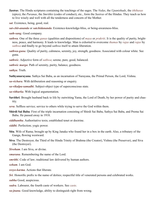<span id="page-59-9"></span>*Sastras*. The Hindu scriptures containing the teachings of the sages. The *[Vedas](#page-61-1)*, the *[Upanishads](#page-60-1)*, the *[ithihasas](#page-54-21)* (epics), the *[Puranas](#page-57-17)*, the *Smrithis* (codes of conduct), etc., form the *Sastras* of the Hindus. They teach us how to live wisely and well with all the tenderness and concern of the Mother.

<span id="page-59-10"></span>*sat*. Existence, being, good, real.

<span id="page-59-3"></span>*sat-chit-ananda* or *satchidananda*. Existence-knowledge-bliss, or being-awareness-bliss.

- <span id="page-59-18"></span>*sath-sang*. Good company.
- <span id="page-59-16"></span>*sathwa*. One of the three *[gunas](#page-54-13)* (qualities and dispositions) of *[maya](#page-56-8)* or *prakriti*. It is the quality of purity, brightness, peace, and harmony. It leads to knowledge. Man is exhorted to overcome *thamas* by *[rajas](#page-57-10)* and *rajas* by *sathwa* and finally to go beyond *sathwa* itself to attain liberation.
- <span id="page-59-15"></span>*sathwa-guna*. Quality of purity, calmness, serenity, joy, strength, goodness. Associated with colour white. See guna.

<span id="page-59-5"></span>*sathwic*. Adjective form of *[sathwa](#page-59-16)*; serene, pure, good, balanced.

<span id="page-59-4"></span>*sathwic marga*. Path of serenity, purity, balance, goodness.

<span id="page-59-2"></span>*sathya*. Truth.

**Sathyanarayana**. Sathya Sai Baba, as an incarnation of [Narayana,](#page-56-14) the Primal Person, the Lord, [Vishnu.](#page-61-3)

<span id="page-59-12"></span>*sa-vichara*. With deliberation and reasoning or enquiry.

<span id="page-59-20"></span>*sa-vikalpa-samadhi*. Subject-object type of superconscious state.

<span id="page-59-11"></span>*sa-vitharka*. With logical argumentation.

- <span id="page-59-17"></span>**Savithri**. Brought husband back to life by outwitting [Yama,](#page-61-9) the Lord of Death, by her power of purity and chastity.
- <span id="page-59-19"></span>*seva*. Selfless service; service to others while trying to serve the God within them.
- <span id="page-59-0"></span>**Shirdi Sai Baba**. First of the triple incarnation consisting of Shirdi Sai Baba, Sathya Sai Baba, and Prema Sai Baba. He passed away in 1918.
- <span id="page-59-6"></span>*siddhantha*. Authoritative texts; established tenet or doctrine.

<span id="page-59-14"></span>*siddhi*. Perfection; yogic power.

- <span id="page-59-21"></span>**Sita**. Wife of [Rama](#page-58-17); brought up by King [Janaka](#page-54-22) who found her in a box in the earth. Also, a tributary of the [Ganga](#page-53-21), flowing westward.
- <span id="page-59-8"></span>**Siva**. The Destroyer, the Third of the Hindu Trinity of [Brahma](#page-52-14) (the Creator), [Vishnu](#page-61-3) (the Preserver), and Siva (the Destroyer).

<span id="page-59-7"></span>*Sivoham*. I am Siva, or divine.

<span id="page-59-13"></span>*smarana*. Remembering the name of the Lord.

*smrithi*. Code of law; traditional law delivered by human authors.

*soham*. I am God.

<span id="page-59-1"></span>*sreyo-karma*. Actions that liberate.

*Sri*. Honorific prefix to the name of deities; respectful title of venerated persons and celebrated works.

*subha* Good, auspicious.

*sudra*. Labourer, the fourth caste of workers. See *[caste](#page-53-16)*.

*su-jnana*. Good knowledge, ability to distinguish right from wrong.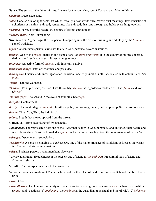<span id="page-60-5"></span>**Surya**. The sun god, the father of time. A name for the sun. Also, son of [Kasyapa](#page-55-19) and father of [Manu.](#page-56-9)

*sushupti*. Deep sleep state.

- *sutra*. Concise rule or aphorism; that which, through a few words only, reveals vast meanings; text consisting of aphorisms or maxims; a thread; something, like a thread, that runs through and holds everything together.
- *swarupa*. Form, essential nature, true nature of Being, embodiment.
- *swayam-jyothi*. Self-illuminating.
- <span id="page-60-2"></span>**Swethakethu**. A great sage; the first person to argue against the evils of drinking and adultery by the *[brahmins](#page-52-17)*; son of [Uddalaka.](#page-60-3)
- *tapas*. Concentrated spiritual exercises to attain God, penance, severe austerities.
- *thamas*. One of the *[gunas](#page-54-13)* (qualities and dispositions) of *[maya](#page-56-8)* or *[prakriti](#page-57-2)*. It is the quality of dullness, inertia, darkness and tendency to evil. It results in ignorance.
- *thamasic*. Adjective form of *thamas*, dull, ignorant, passive.
- *thamasika-marga*. Path of ignorance and passivity.
- *thamoguna*. Quality of dullness, ignorance, delusion, inactivity, inertia, sloth. Associated with colour black. See *[guna](#page-54-13)*.

<span id="page-60-7"></span>*Thath*. That, the Godhead.

- *Thathwa*. Principle, truth, essence. That-this entity. *Thathwa* is regarded as made up of That (*[Thath](#page-60-7)*) and you (*thwam*).
- *Thretha-yuga*. The second in the cycle of four eras. See *yuga.*

*thrupthi*. Contentment.

- *thuriya*. "Beyond" stage in *[samadhi](#page-58-8)*; fourth stage beyond waking, dream, and deep sleep. Superconscious state.
- *thwam*. Thou, You, This, the individual.
- *udana*. Breath that moves upward from the throat.
- <span id="page-60-3"></span>**Uddalaka**. Hermit-sage father of [Swethakethu](#page-60-2).
- <span id="page-60-1"></span>*Upanishads*. The very sacred portions of the *[Vedas](#page-61-1)* that deal with God, humanity, and universe, their nature and interrelationships. Spiritual knowledge (*[jnana](#page-54-7)*) is their content, so they form the *[Jnana-kanda](#page-55-20)* of the *[Vedas](#page-61-1)*.
- *vairagya*. Detachment, renunciation.
- <span id="page-60-4"></span>*Vaishnavite*. A person belonging to *Vaishnavism*, one of the major branches of Hinduism. It focuses on worhiping [Vishnu](#page-61-3) and his ten incarnations.
- *vaisya*. Business person, trader, merchant. See [caste.](#page-53-16)
- Vaivaswatha Manu. Head ([Indra](#page-54-18)) of the present age of [Manu](#page-56-9) (*Manvanthara*); [Prajaprathi.](#page-57-18) Son of [Manu](#page-56-9) and father of [Ikshvaku.](#page-54-23)
- <span id="page-60-6"></span>**Valmiki**. The saint-poet who wrote the *[Ramayana](#page-58-21)*.
- <span id="page-60-0"></span>**Vamana**. Dwarf incarnation of [Vishnu,](#page-61-3) who asked for three feet of land from Emperor [Bali](#page-52-18) and humbled [Bali'](#page-52-18)s pride.

*varna*. [Caste](#page-53-16).

*varna dharma*. The Hindu community is divided into four social groups, or [castes](#page-53-16) (*varnas*), based on qualities (*[gunas](#page-54-13)*) and vocations: (1) *Brahmana* (the *[brahmins](#page-52-17)*), the custodian of spiritual and moral role), (2) *[kshatriya](#page-55-15)*,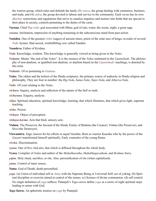the warrior group, which rules and defends the land), (3) *vaisya*, the group dealing with commerce, business, and trade, and (4) *sudra*, the group devoted to labour and service to the community. Each *varna* has its own *[dharmic](#page-53-7)* restrictions and regulations that strive to canalise impulses and instinct into fields that are special to their place in society, controls pertaining to the duties of the [caste](#page-53-16).

<span id="page-61-6"></span>**Varuna**. Chief *[Rig-vedic](#page-58-24)* god associated with Mitra; god of rain, water, the ocean, night; a great sage.

*vasana*. Inclination, impression of anything remaining in the subconscious mind from past action.

<span id="page-61-12"></span>**Vasishta**. One of the greatest *[rishis](#page-58-6)* (sages) of ancient times; priest of the solar race of kings; revealer of several *[Vedic](#page-61-5)* hymns. Had sacred, wishfulfilling cow called Nandini.

<span id="page-61-10"></span>**Vasudeva**. Father of [Krishna.](#page-55-11)

- <span id="page-61-7"></span>*Veda*. Knowledge, wisdom. This knowledge is generally viewed as being given in the *Vedas*.
- <span id="page-61-0"></span>*Vedanta*. Means "the end of the *[Vedas](#page-61-1)*". It is the essence of the *[Vedas](#page-61-1)* enshrined in the *[Upanishads](#page-60-1)*. The philosophy of non-dualism, or qualified non-dualism, or dualism based on the *[Upanishadic](#page-60-1)* teachings, is denoted by this term.

<span id="page-61-2"></span>*Vedantic*. Of or pertaining to *[Vedanta](#page-61-0)*.

<span id="page-61-1"></span>*Vedas*. The oldest and the holiest of the Hindu scriptures, the primary source of authority in Hindu religion and philosophy. They are four in number: the *[Rig-Veda](#page-58-23)*, *Sama-Veda*, *Yajur-Veda*, and *Atharva-Veda*.

<span id="page-61-5"></span>*Vedic*. Of your relating to the *[Vedas](#page-61-1)*.

- *vichara*. Inquiry, analysis and reflection of the nature of the Self or truth.
- *vicharana*. Enquiry, analysis.
- *vidya*. Spiritual education, spiritual knowledge, learning, that which illumines, that which gives light, supreme teaching.

*visha*. Poison.

- *vishaya*. Object of perception.
- *vishaya-karma*. Acts that bind, sensory acts.
- <span id="page-61-3"></span>**Vishnu**. The Preserver, the Second of the Hindu Trinity of [Brahma](#page-52-14) (the Creator), [Vishnu](#page-61-3) (the Preserver), and [Siva](#page-59-8) (the Destroyer).
- <span id="page-61-4"></span>**Viswamitra**. Sage; known for his efforts to equal [Vasishta](#page-61-12). Born as warrior Kausika who by the power of the *[Gayatri](#page-54-24)* transformed himself spiritually. Early counselor of the young [Rama](#page-58-17).

*viveka*. Discrimination.

*vyana*. One of five vital airs; that which is diffused throughout the whole body.

<span id="page-61-8"></span>**Vyasa**. Compiler of *[Vedas](#page-61-1)* and author of the *[Mahabharatha](#page-55-14)*, *Mahabhagavatham*, and *[Brahma Sutra](#page-52-19)*.

- *yajna*. Holy ritual, sacrifice, or rite. Also, personification of rite (when capitalized).
- *yama*. Control of inner senses.
- <span id="page-61-9"></span>**Yama**. God of Death; death personified.
- *yoga*. (a) Union of individual self or *[Atma](#page-51-3)* with the Supreme Being or Universal Self; act of yoking. (b) Spiritual discipline or exercise aimed at control of the senses. (c) Science of divine communion. (d) self control. No single definition of *yoga* suffices. [Patanjali's](#page-57-14) *[Yoga-sutras](#page-61-11)* define *yoga* as a series of eight spiritual steps leading to union with God.

<span id="page-61-11"></span>*Yoga Sutras*. An aphoristic treatise on *yoga* by [Patanjali](#page-57-14).